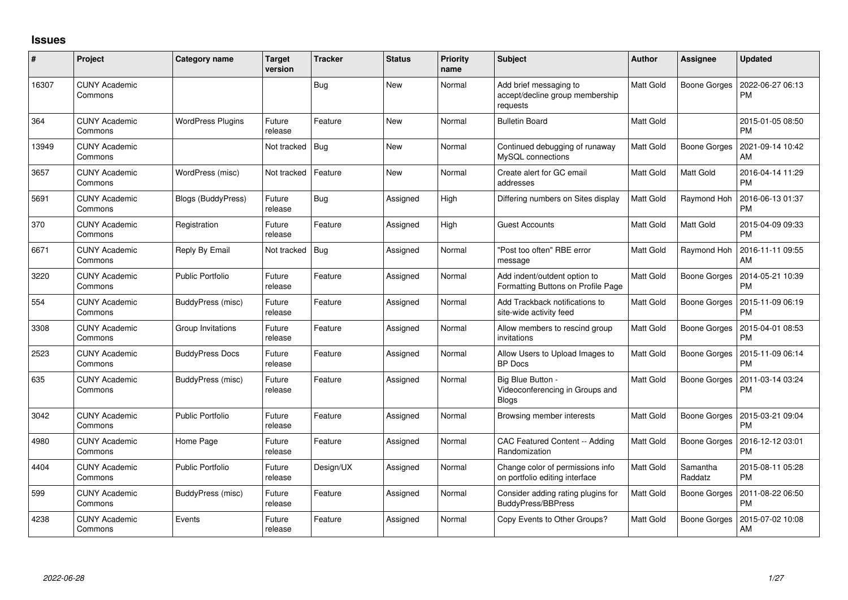## **Issues**

| #     | Project                         | Category name            | Target<br>version | <b>Tracker</b> | <b>Status</b> | <b>Priority</b><br>name | <b>Subject</b>                                                        | <b>Author</b> | Assignee            | <b>Updated</b>                |
|-------|---------------------------------|--------------------------|-------------------|----------------|---------------|-------------------------|-----------------------------------------------------------------------|---------------|---------------------|-------------------------------|
| 16307 | <b>CUNY Academic</b><br>Commons |                          |                   | Bug            | New           | Normal                  | Add brief messaging to<br>accept/decline group membership<br>requests | Matt Gold     | <b>Boone Gorges</b> | 2022-06-27 06:13<br><b>PM</b> |
| 364   | <b>CUNY Academic</b><br>Commons | <b>WordPress Plugins</b> | Future<br>release | Feature        | <b>New</b>    | Normal                  | <b>Bulletin Board</b>                                                 | Matt Gold     |                     | 2015-01-05 08:50<br><b>PM</b> |
| 13949 | <b>CUNY Academic</b><br>Commons |                          | Not tracked       | Bug            | <b>New</b>    | Normal                  | Continued debugging of runaway<br>MySQL connections                   | Matt Gold     | <b>Boone Gorges</b> | 2021-09-14 10:42<br><b>AM</b> |
| 3657  | <b>CUNY Academic</b><br>Commons | WordPress (misc)         | Not tracked       | Feature        | New           | Normal                  | Create alert for GC email<br>addresses                                | Matt Gold     | Matt Gold           | 2016-04-14 11:29<br><b>PM</b> |
| 5691  | <b>CUNY Academic</b><br>Commons | Blogs (BuddyPress)       | Future<br>release | <b>Bug</b>     | Assigned      | High                    | Differing numbers on Sites display                                    | Matt Gold     | Raymond Hoh         | 2016-06-13 01:37<br><b>PM</b> |
| 370   | <b>CUNY Academic</b><br>Commons | Registration             | Future<br>release | Feature        | Assigned      | High                    | Guest Accounts                                                        | Matt Gold     | Matt Gold           | 2015-04-09 09:33<br><b>PM</b> |
| 6671  | <b>CUNY Academic</b><br>Commons | Reply By Email           | Not tracked       | Bug            | Assigned      | Normal                  | 'Post too often" RBE error<br>message                                 | Matt Gold     | Raymond Hoh         | 2016-11-11 09:55<br>AM        |
| 3220  | <b>CUNY Academic</b><br>Commons | <b>Public Portfolio</b>  | Future<br>release | Feature        | Assigned      | Normal                  | Add indent/outdent option to<br>Formatting Buttons on Profile Page    | Matt Gold     | <b>Boone Gorges</b> | 2014-05-21 10:39<br><b>PM</b> |
| 554   | <b>CUNY Academic</b><br>Commons | BuddyPress (misc)        | Future<br>release | Feature        | Assigned      | Normal                  | Add Trackback notifications to<br>site-wide activity feed             | Matt Gold     | Boone Gorges        | 2015-11-09 06:19<br><b>PM</b> |
| 3308  | <b>CUNY Academic</b><br>Commons | Group Invitations        | Future<br>release | Feature        | Assigned      | Normal                  | Allow members to rescind group<br>invitations                         | Matt Gold     | Boone Gorges        | 2015-04-01 08:53<br><b>PM</b> |
| 2523  | <b>CUNY Academic</b><br>Commons | <b>BuddyPress Docs</b>   | Future<br>release | Feature        | Assigned      | Normal                  | Allow Users to Upload Images to<br><b>BP</b> Docs                     | Matt Gold     | Boone Gorges        | 2015-11-09 06:14<br><b>PM</b> |
| 635   | <b>CUNY Academic</b><br>Commons | BuddyPress (misc)        | Future<br>release | Feature        | Assigned      | Normal                  | Big Blue Button -<br>Videoconferencing in Groups and<br>Blogs         | Matt Gold     | <b>Boone Gorges</b> | 2011-03-14 03:24<br><b>PM</b> |
| 3042  | <b>CUNY Academic</b><br>Commons | <b>Public Portfolio</b>  | Future<br>release | Feature        | Assigned      | Normal                  | Browsing member interests                                             | Matt Gold     | Boone Gorges        | 2015-03-21 09:04<br><b>PM</b> |
| 4980  | <b>CUNY Academic</b><br>Commons | Home Page                | Future<br>release | Feature        | Assigned      | Normal                  | CAC Featured Content -- Adding<br>Randomization                       | Matt Gold     | <b>Boone Gorges</b> | 2016-12-12 03:01<br><b>PM</b> |
| 4404  | <b>CUNY Academic</b><br>Commons | <b>Public Portfolio</b>  | Future<br>release | Design/UX      | Assigned      | Normal                  | Change color of permissions info<br>on portfolio editing interface    | Matt Gold     | Samantha<br>Raddatz | 2015-08-11 05:28<br><b>PM</b> |
| 599   | <b>CUNY Academic</b><br>Commons | BuddyPress (misc)        | Future<br>release | Feature        | Assigned      | Normal                  | Consider adding rating plugins for<br><b>BuddyPress/BBPress</b>       | Matt Gold     | Boone Gorges        | 2011-08-22 06:50<br><b>PM</b> |
| 4238  | CUNY Academic<br>Commons        | Events                   | Future<br>release | Feature        | Assigned      | Normal                  | Copy Events to Other Groups?                                          | Matt Gold     | Boone Gorges        | 2015-07-02 10:08<br>AM        |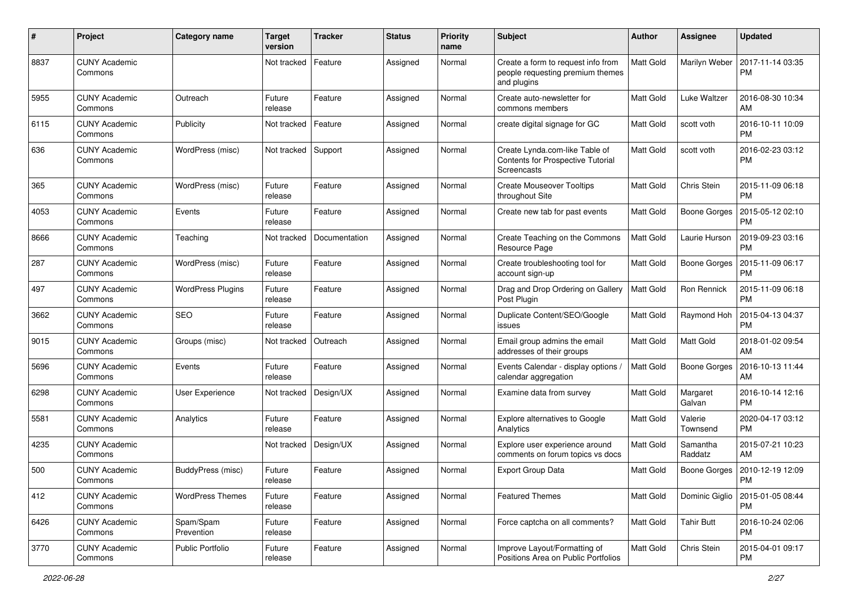| #    | Project                         | Category name            | <b>Target</b><br>version | <b>Tracker</b> | <b>Status</b> | <b>Priority</b><br>name | <b>Subject</b>                                                                        | Author           | <b>Assignee</b>     | <b>Updated</b>                |
|------|---------------------------------|--------------------------|--------------------------|----------------|---------------|-------------------------|---------------------------------------------------------------------------------------|------------------|---------------------|-------------------------------|
| 8837 | <b>CUNY Academic</b><br>Commons |                          | Not tracked              | Feature        | Assigned      | Normal                  | Create a form to request info from<br>people requesting premium themes<br>and plugins | Matt Gold        | Marilyn Weber       | 2017-11-14 03:35<br><b>PM</b> |
| 5955 | <b>CUNY Academic</b><br>Commons | Outreach                 | Future<br>release        | Feature        | Assigned      | Normal                  | Create auto-newsletter for<br>commons members                                         | <b>Matt Gold</b> | <b>Luke Waltzer</b> | 2016-08-30 10:34<br>AM        |
| 6115 | <b>CUNY Academic</b><br>Commons | Publicity                | Not tracked              | Feature        | Assigned      | Normal                  | create digital signage for GC                                                         | <b>Matt Gold</b> | scott voth          | 2016-10-11 10:09<br><b>PM</b> |
| 636  | CUNY Academic<br>Commons        | WordPress (misc)         | Not tracked              | Support        | Assigned      | Normal                  | Create Lynda.com-like Table of<br>Contents for Prospective Tutorial<br>Screencasts    | Matt Gold        | scott voth          | 2016-02-23 03:12<br><b>PM</b> |
| 365  | <b>CUNY Academic</b><br>Commons | WordPress (misc)         | Future<br>release        | Feature        | Assigned      | Normal                  | <b>Create Mouseover Tooltips</b><br>throughout Site                                   | <b>Matt Gold</b> | Chris Stein         | 2015-11-09 06:18<br><b>PM</b> |
| 4053 | <b>CUNY Academic</b><br>Commons | Events                   | Future<br>release        | Feature        | Assigned      | Normal                  | Create new tab for past events                                                        | Matt Gold        | <b>Boone Gorges</b> | 2015-05-12 02:10<br><b>PM</b> |
| 8666 | CUNY Academic<br>Commons        | Teaching                 | Not tracked              | Documentation  | Assigned      | Normal                  | Create Teaching on the Commons<br>Resource Page                                       | Matt Gold        | Laurie Hurson       | 2019-09-23 03:16<br><b>PM</b> |
| 287  | <b>CUNY Academic</b><br>Commons | WordPress (misc)         | Future<br>release        | Feature        | Assigned      | Normal                  | Create troubleshooting tool for<br>account sign-up                                    | Matt Gold        | Boone Gorges        | 2015-11-09 06:17<br><b>PM</b> |
| 497  | <b>CUNY Academic</b><br>Commons | <b>WordPress Plugins</b> | Future<br>release        | Feature        | Assigned      | Normal                  | Drag and Drop Ordering on Gallery<br>Post Plugin                                      | <b>Matt Gold</b> | Ron Rennick         | 2015-11-09 06:18<br><b>PM</b> |
| 3662 | <b>CUNY Academic</b><br>Commons | <b>SEO</b>               | Future<br>release        | Feature        | Assigned      | Normal                  | Duplicate Content/SEO/Google<br>issues                                                | <b>Matt Gold</b> | Raymond Hoh         | 2015-04-13 04:37<br><b>PM</b> |
| 9015 | CUNY Academic<br>Commons        | Groups (misc)            | Not tracked              | Outreach       | Assigned      | Normal                  | Email group admins the email<br>addresses of their groups                             | <b>Matt Gold</b> | Matt Gold           | 2018-01-02 09:54<br>AM        |
| 5696 | <b>CUNY Academic</b><br>Commons | Events                   | Future<br>release        | Feature        | Assigned      | Normal                  | Events Calendar - display options<br>calendar aggregation                             | Matt Gold        | <b>Boone Gorges</b> | 2016-10-13 11:44<br>AM        |
| 6298 | <b>CUNY Academic</b><br>Commons | User Experience          | Not tracked              | Design/UX      | Assigned      | Normal                  | Examine data from survey                                                              | <b>Matt Gold</b> | Margaret<br>Galvan  | 2016-10-14 12:16<br><b>PM</b> |
| 5581 | <b>CUNY Academic</b><br>Commons | Analytics                | Future<br>release        | Feature        | Assigned      | Normal                  | Explore alternatives to Google<br>Analytics                                           | <b>Matt Gold</b> | Valerie<br>Townsend | 2020-04-17 03:12<br><b>PM</b> |
| 4235 | <b>CUNY Academic</b><br>Commons |                          | Not tracked              | Design/UX      | Assigned      | Normal                  | Explore user experience around<br>comments on forum topics vs docs                    | Matt Gold        | Samantha<br>Raddatz | 2015-07-21 10:23<br>AM        |
| 500  | CUNY Academic<br>Commons        | BuddyPress (misc)        | Future<br>release        | Feature        | Assigned      | Normal                  | <b>Export Group Data</b>                                                              | Matt Gold        | Boone Gorges        | 2010-12-19 12:09<br>PM        |
| 412  | <b>CUNY Academic</b><br>Commons | <b>WordPress Themes</b>  | Future<br>release        | Feature        | Assigned      | Normal                  | <b>Featured Themes</b>                                                                | Matt Gold        | Dominic Giglio      | 2015-01-05 08:44<br><b>PM</b> |
| 6426 | <b>CUNY Academic</b><br>Commons | Spam/Spam<br>Prevention  | Future<br>release        | Feature        | Assigned      | Normal                  | Force captcha on all comments?                                                        | Matt Gold        | <b>Tahir Butt</b>   | 2016-10-24 02:06<br><b>PM</b> |
| 3770 | <b>CUNY Academic</b><br>Commons | Public Portfolio         | Future<br>release        | Feature        | Assigned      | Normal                  | Improve Layout/Formatting of<br>Positions Area on Public Portfolios                   | Matt Gold        | Chris Stein         | 2015-04-01 09:17<br><b>PM</b> |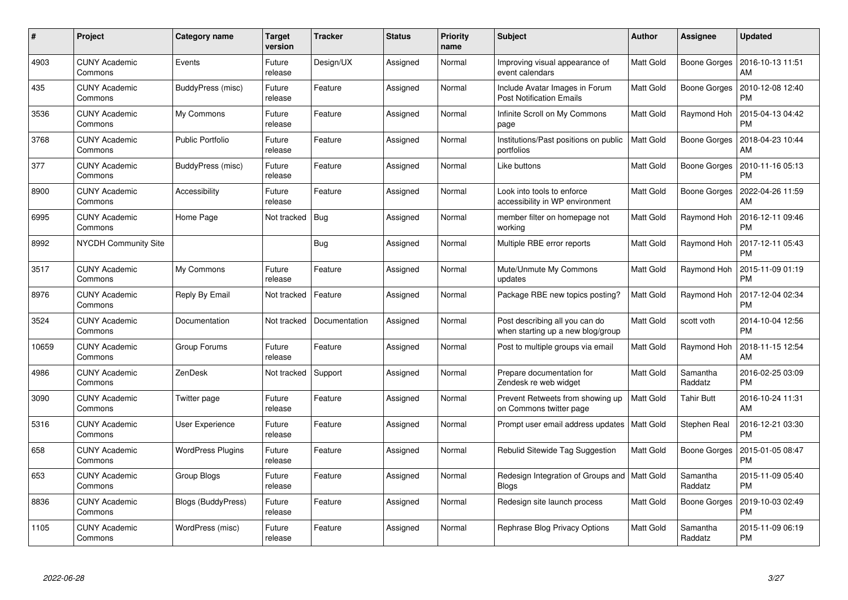| #     | Project                         | Category name            | Target<br>version | <b>Tracker</b> | <b>Status</b> | <b>Priority</b><br>name | <b>Subject</b>                                                      | <b>Author</b>    | Assignee            | <b>Updated</b>                |
|-------|---------------------------------|--------------------------|-------------------|----------------|---------------|-------------------------|---------------------------------------------------------------------|------------------|---------------------|-------------------------------|
| 4903  | <b>CUNY Academic</b><br>Commons | Events                   | Future<br>release | Design/UX      | Assigned      | Normal                  | Improving visual appearance of<br>event calendars                   | Matt Gold        | <b>Boone Gorges</b> | 2016-10-13 11:51<br>AM        |
| 435   | <b>CUNY Academic</b><br>Commons | BuddyPress (misc)        | Future<br>release | Feature        | Assigned      | Normal                  | Include Avatar Images in Forum<br><b>Post Notification Emails</b>   | Matt Gold        | <b>Boone Gorges</b> | 2010-12-08 12:40<br><b>PM</b> |
| 3536  | <b>CUNY Academic</b><br>Commons | My Commons               | Future<br>release | Feature        | Assigned      | Normal                  | Infinite Scroll on My Commons<br>page                               | <b>Matt Gold</b> | Raymond Hoh         | 2015-04-13 04:42<br><b>PM</b> |
| 3768  | <b>CUNY Academic</b><br>Commons | <b>Public Portfolio</b>  | Future<br>release | Feature        | Assigned      | Normal                  | Institutions/Past positions on public<br>portfolios                 | Matt Gold        | <b>Boone Gorges</b> | 2018-04-23 10:44<br>AM        |
| 377   | <b>CUNY Academic</b><br>Commons | BuddyPress (misc)        | Future<br>release | Feature        | Assigned      | Normal                  | Like buttons                                                        | Matt Gold        | <b>Boone Gorges</b> | 2010-11-16 05:13<br><b>PM</b> |
| 8900  | <b>CUNY Academic</b><br>Commons | Accessibility            | Future<br>release | Feature        | Assigned      | Normal                  | Look into tools to enforce<br>accessibility in WP environment       | Matt Gold        | <b>Boone Gorges</b> | 2022-04-26 11:59<br>AM        |
| 6995  | <b>CUNY Academic</b><br>Commons | Home Page                | Not tracked       | Bug            | Assigned      | Normal                  | member filter on homepage not<br>working                            | Matt Gold        | Raymond Hoh         | 2016-12-11 09:46<br><b>PM</b> |
| 8992  | <b>NYCDH Community Site</b>     |                          |                   | Bug            | Assigned      | Normal                  | Multiple RBE error reports                                          | <b>Matt Gold</b> | Raymond Hoh         | 2017-12-11 05:43<br><b>PM</b> |
| 3517  | <b>CUNY Academic</b><br>Commons | My Commons               | Future<br>release | Feature        | Assigned      | Normal                  | Mute/Unmute My Commons<br>updates                                   | Matt Gold        | Raymond Hoh         | 2015-11-09 01:19<br><b>PM</b> |
| 8976  | <b>CUNY Academic</b><br>Commons | Reply By Email           | Not tracked       | Feature        | Assigned      | Normal                  | Package RBE new topics posting?                                     | <b>Matt Gold</b> | Raymond Hoh         | 2017-12-04 02:34<br><b>PM</b> |
| 3524  | <b>CUNY Academic</b><br>Commons | Documentation            | Not tracked       | Documentation  | Assigned      | Normal                  | Post describing all you can do<br>when starting up a new blog/group | Matt Gold        | scott voth          | 2014-10-04 12:56<br><b>PM</b> |
| 10659 | <b>CUNY Academic</b><br>Commons | Group Forums             | Future<br>release | Feature        | Assigned      | Normal                  | Post to multiple groups via email                                   | <b>Matt Gold</b> | Raymond Hoh         | 2018-11-15 12:54<br>AM        |
| 4986  | <b>CUNY Academic</b><br>Commons | ZenDesk                  | Not tracked       | Support        | Assigned      | Normal                  | Prepare documentation for<br>Zendesk re web widget                  | Matt Gold        | Samantha<br>Raddatz | 2016-02-25 03:09<br><b>PM</b> |
| 3090  | <b>CUNY Academic</b><br>Commons | Twitter page             | Future<br>release | Feature        | Assigned      | Normal                  | Prevent Retweets from showing up<br>on Commons twitter page         | Matt Gold        | <b>Tahir Butt</b>   | 2016-10-24 11:31<br>AM        |
| 5316  | <b>CUNY Academic</b><br>Commons | User Experience          | Future<br>release | Feature        | Assigned      | Normal                  | Prompt user email address updates                                   | <b>Matt Gold</b> | Stephen Real        | 2016-12-21 03:30<br><b>PM</b> |
| 658   | <b>CUNY Academic</b><br>Commons | <b>WordPress Plugins</b> | Future<br>release | Feature        | Assigned      | Normal                  | Rebulid Sitewide Tag Suggestion                                     | <b>Matt Gold</b> | <b>Boone Gorges</b> | 2015-01-05 08:47<br><b>PM</b> |
| 653   | <b>CUNY Academic</b><br>Commons | Group Blogs              | Future<br>release | Feature        | Assigned      | Normal                  | Redesign Integration of Groups and   Matt Gold<br><b>Blogs</b>      |                  | Samantha<br>Raddatz | 2015-11-09 05:40<br><b>PM</b> |
| 8836  | <b>CUNY Academic</b><br>Commons | Blogs (BuddyPress)       | Future<br>release | Feature        | Assigned      | Normal                  | Redesign site launch process                                        | Matt Gold        | <b>Boone Gorges</b> | 2019-10-03 02:49<br><b>PM</b> |
| 1105  | CUNY Academic<br>Commons        | WordPress (misc)         | Future<br>release | Feature        | Assigned      | Normal                  | Rephrase Blog Privacy Options                                       | <b>Matt Gold</b> | Samantha<br>Raddatz | 2015-11-09 06:19<br>PM        |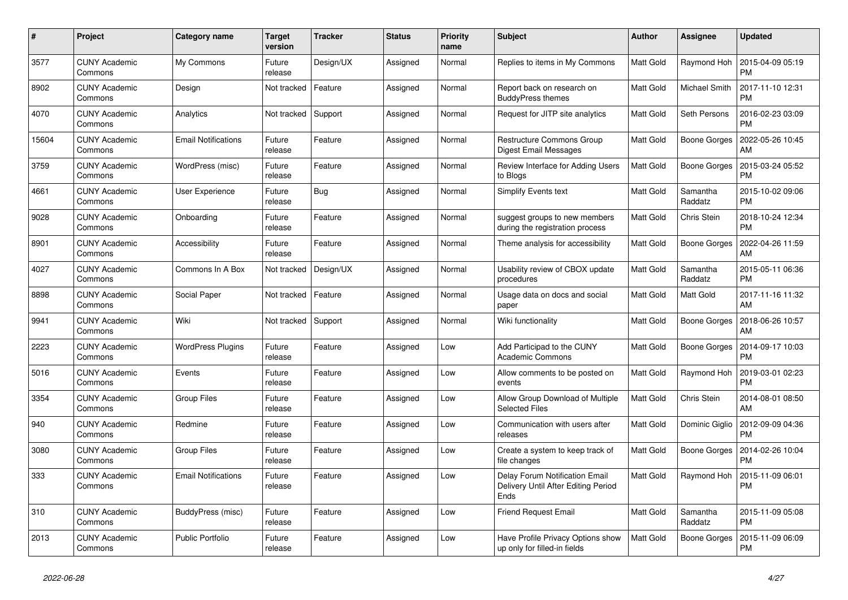| #     | Project                         | Category name              | Target<br>version | <b>Tracker</b> | <b>Status</b> | <b>Priority</b><br>name | <b>Subject</b>                                                                       | <b>Author</b>    | Assignee            | <b>Updated</b>                |
|-------|---------------------------------|----------------------------|-------------------|----------------|---------------|-------------------------|--------------------------------------------------------------------------------------|------------------|---------------------|-------------------------------|
| 3577  | <b>CUNY Academic</b><br>Commons | My Commons                 | Future<br>release | Design/UX      | Assigned      | Normal                  | Replies to items in My Commons                                                       | <b>Matt Gold</b> | Raymond Hoh         | 2015-04-09 05:19<br><b>PM</b> |
| 8902  | <b>CUNY Academic</b><br>Commons | Design                     | Not tracked       | Feature        | Assigned      | Normal                  | Report back on research on<br><b>BuddyPress themes</b>                               | <b>Matt Gold</b> | Michael Smith       | 2017-11-10 12:31<br><b>PM</b> |
| 4070  | <b>CUNY Academic</b><br>Commons | Analytics                  | Not tracked       | Support        | Assigned      | Normal                  | Request for JITP site analytics                                                      | Matt Gold        | Seth Persons        | 2016-02-23 03:09<br><b>PM</b> |
| 15604 | <b>CUNY Academic</b><br>Commons | <b>Email Notifications</b> | Future<br>release | Feature        | Assigned      | Normal                  | Restructure Commons Group<br><b>Digest Email Messages</b>                            | Matt Gold        | Boone Gorges        | 2022-05-26 10:45<br><b>AM</b> |
| 3759  | <b>CUNY Academic</b><br>Commons | WordPress (misc)           | Future<br>release | Feature        | Assigned      | Normal                  | Review Interface for Adding Users<br>to Blogs                                        | Matt Gold        | Boone Gorges        | 2015-03-24 05:52<br><b>PM</b> |
| 4661  | <b>CUNY Academic</b><br>Commons | User Experience            | Future<br>release | Bug            | Assigned      | Normal                  | Simplify Events text                                                                 | Matt Gold        | Samantha<br>Raddatz | 2015-10-02 09:06<br><b>PM</b> |
| 9028  | <b>CUNY Academic</b><br>Commons | Onboarding                 | Future<br>release | Feature        | Assigned      | Normal                  | suggest groups to new members<br>during the registration process                     | Matt Gold        | Chris Stein         | 2018-10-24 12:34<br><b>PM</b> |
| 8901  | <b>CUNY Academic</b><br>Commons | Accessibility              | Future<br>release | Feature        | Assigned      | Normal                  | Theme analysis for accessibility                                                     | Matt Gold        | Boone Gorges        | 2022-04-26 11:59<br>AM        |
| 4027  | <b>CUNY Academic</b><br>Commons | Commons In A Box           | Not tracked       | Design/UX      | Assigned      | Normal                  | Usability review of CBOX update<br>procedures                                        | Matt Gold        | Samantha<br>Raddatz | 2015-05-11 06:36<br><b>PM</b> |
| 8898  | <b>CUNY Academic</b><br>Commons | Social Paper               | Not tracked       | Feature        | Assigned      | Normal                  | Usage data on docs and social<br>paper                                               | Matt Gold        | Matt Gold           | 2017-11-16 11:32<br>AM        |
| 9941  | <b>CUNY Academic</b><br>Commons | Wiki                       | Not tracked       | Support        | Assigned      | Normal                  | Wiki functionality                                                                   | Matt Gold        | Boone Gorges        | 2018-06-26 10:57<br>AM        |
| 2223  | <b>CUNY Academic</b><br>Commons | <b>WordPress Plugins</b>   | Future<br>release | Feature        | Assigned      | Low                     | Add Participad to the CUNY<br><b>Academic Commons</b>                                | Matt Gold        | Boone Gorges        | 2014-09-17 10:03<br><b>PM</b> |
| 5016  | <b>CUNY Academic</b><br>Commons | Events                     | Future<br>release | Feature        | Assigned      | Low                     | Allow comments to be posted on<br>events                                             | Matt Gold        | Raymond Hoh         | 2019-03-01 02:23<br><b>PM</b> |
| 3354  | <b>CUNY Academic</b><br>Commons | Group Files                | Future<br>release | Feature        | Assigned      | Low                     | Allow Group Download of Multiple<br><b>Selected Files</b>                            | Matt Gold        | Chris Stein         | 2014-08-01 08:50<br>AM        |
| 940   | <b>CUNY Academic</b><br>Commons | Redmine                    | Future<br>release | Feature        | Assigned      | Low                     | Communication with users after<br>releases                                           | Matt Gold        | Dominic Giglio      | 2012-09-09 04:36<br><b>PM</b> |
| 3080  | <b>CUNY Academic</b><br>Commons | Group Files                | Future<br>release | Feature        | Assigned      | Low                     | Create a system to keep track of<br>file changes                                     | Matt Gold        | Boone Gorges        | 2014-02-26 10:04<br><b>PM</b> |
| 333   | <b>CUNY Academic</b><br>Commons | <b>Email Notifications</b> | Future<br>release | Feature        | Assigned      | Low                     | <b>Delay Forum Notification Email</b><br>Delivery Until After Editing Period<br>Ends | Matt Gold        | Raymond Hoh         | 2015-11-09 06:01<br><b>PM</b> |
| 310   | <b>CUNY Academic</b><br>Commons | BuddyPress (misc)          | Future<br>release | Feature        | Assigned      | Low                     | <b>Friend Request Email</b>                                                          | Matt Gold        | Samantha<br>Raddatz | 2015-11-09 05:08<br><b>PM</b> |
| 2013  | <b>CUNY Academic</b><br>Commons | <b>Public Portfolio</b>    | Future<br>release | Feature        | Assigned      | Low                     | Have Profile Privacy Options show<br>up only for filled-in fields                    | <b>Matt Gold</b> | Boone Gorges        | 2015-11-09 06:09<br><b>PM</b> |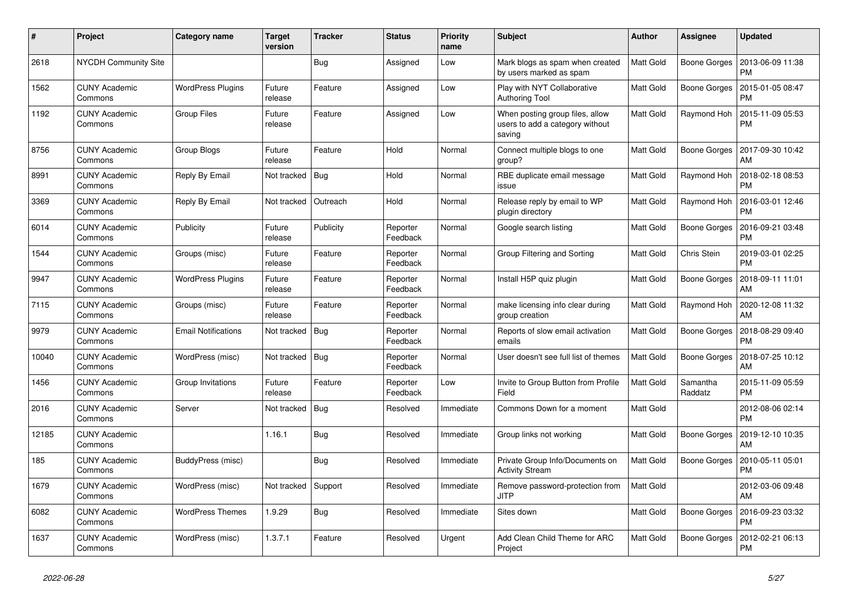| $\#$  | Project                         | Category name              | <b>Target</b><br>version | <b>Tracker</b> | <b>Status</b>        | <b>Priority</b><br>name | <b>Subject</b>                                                               | <b>Author</b>    | Assignee            | <b>Updated</b>                |
|-------|---------------------------------|----------------------------|--------------------------|----------------|----------------------|-------------------------|------------------------------------------------------------------------------|------------------|---------------------|-------------------------------|
| 2618  | NYCDH Community Site            |                            |                          | Bug            | Assigned             | Low                     | Mark blogs as spam when created<br>by users marked as spam                   | <b>Matt Gold</b> | Boone Gorges        | 2013-06-09 11:38<br><b>PM</b> |
| 1562  | <b>CUNY Academic</b><br>Commons | <b>WordPress Plugins</b>   | Future<br>release        | Feature        | Assigned             | Low                     | Play with NYT Collaborative<br><b>Authoring Tool</b>                         | Matt Gold        | <b>Boone Gorges</b> | 2015-01-05 08:47<br><b>PM</b> |
| 1192  | CUNY Academic<br>Commons        | Group Files                | Future<br>release        | Feature        | Assigned             | Low                     | When posting group files, allow<br>users to add a category without<br>saving | Matt Gold        | Raymond Hoh         | 2015-11-09 05:53<br><b>PM</b> |
| 8756  | <b>CUNY Academic</b><br>Commons | Group Blogs                | Future<br>release        | Feature        | Hold                 | Normal                  | Connect multiple blogs to one<br>group?                                      | <b>Matt Gold</b> | <b>Boone Gorges</b> | 2017-09-30 10:42<br>AM        |
| 8991  | <b>CUNY Academic</b><br>Commons | Reply By Email             | Not tracked              | Bug            | Hold                 | Normal                  | RBE duplicate email message<br>issue                                         | <b>Matt Gold</b> | Raymond Hoh         | 2018-02-18 08:53<br><b>PM</b> |
| 3369  | CUNY Academic<br>Commons        | Reply By Email             | Not tracked              | Outreach       | Hold                 | Normal                  | Release reply by email to WP<br>plugin directory                             | Matt Gold        | Raymond Hoh         | 2016-03-01 12:46<br><b>PM</b> |
| 6014  | <b>CUNY Academic</b><br>Commons | Publicity                  | Future<br>release        | Publicity      | Reporter<br>Feedback | Normal                  | Google search listing                                                        | Matt Gold        | <b>Boone Gorges</b> | 2016-09-21 03:48<br><b>PM</b> |
| 1544  | <b>CUNY Academic</b><br>Commons | Groups (misc)              | Future<br>release        | Feature        | Reporter<br>Feedback | Normal                  | Group Filtering and Sorting                                                  | <b>Matt Gold</b> | Chris Stein         | 2019-03-01 02:25<br><b>PM</b> |
| 9947  | <b>CUNY Academic</b><br>Commons | <b>WordPress Plugins</b>   | Future<br>release        | Feature        | Reporter<br>Feedback | Normal                  | Install H5P quiz plugin                                                      | Matt Gold        | <b>Boone Gorges</b> | 2018-09-11 11:01<br>AM        |
| 7115  | <b>CUNY Academic</b><br>Commons | Groups (misc)              | Future<br>release        | Feature        | Reporter<br>Feedback | Normal                  | make licensing info clear during<br>group creation                           | <b>Matt Gold</b> | Raymond Hoh         | 2020-12-08 11:32<br>AM        |
| 9979  | <b>CUNY Academic</b><br>Commons | <b>Email Notifications</b> | Not tracked              | Bug            | Reporter<br>Feedback | Normal                  | Reports of slow email activation<br>emails                                   | <b>Matt Gold</b> | <b>Boone Gorges</b> | 2018-08-29 09:40<br><b>PM</b> |
| 10040 | <b>CUNY Academic</b><br>Commons | WordPress (misc)           | Not tracked              | Bug            | Reporter<br>Feedback | Normal                  | User doesn't see full list of themes                                         | <b>Matt Gold</b> | <b>Boone Gorges</b> | 2018-07-25 10:12<br>AM        |
| 1456  | <b>CUNY Academic</b><br>Commons | Group Invitations          | Future<br>release        | Feature        | Reporter<br>Feedback | Low                     | Invite to Group Button from Profile<br>Field                                 | Matt Gold        | Samantha<br>Raddatz | 2015-11-09 05:59<br><b>PM</b> |
| 2016  | <b>CUNY Academic</b><br>Commons | Server                     | Not tracked              | Bug            | Resolved             | Immediate               | Commons Down for a moment                                                    | Matt Gold        |                     | 2012-08-06 02:14<br><b>PM</b> |
| 12185 | <b>CUNY Academic</b><br>Commons |                            | 1.16.1                   | <b>Bug</b>     | Resolved             | Immediate               | Group links not working                                                      | Matt Gold        | <b>Boone Gorges</b> | 2019-12-10 10:35<br>AM        |
| 185   | <b>CUNY Academic</b><br>Commons | BuddyPress (misc)          |                          | <b>Bug</b>     | Resolved             | Immediate               | Private Group Info/Documents on<br><b>Activity Stream</b>                    | Matt Gold        | <b>Boone Gorges</b> | 2010-05-11 05:01<br><b>PM</b> |
| 1679  | <b>CUNY Academic</b><br>Commons | WordPress (misc)           | Not tracked              | Support        | Resolved             | Immediate               | Remove password-protection from<br><b>JITP</b>                               | <b>Matt Gold</b> |                     | 2012-03-06 09:48<br>AM        |
| 6082  | <b>CUNY Academic</b><br>Commons | <b>WordPress Themes</b>    | 1.9.29                   | <b>Bug</b>     | Resolved             | Immediate               | Sites down                                                                   | Matt Gold        | Boone Gorges        | 2016-09-23 03:32<br><b>PM</b> |
| 1637  | <b>CUNY Academic</b><br>Commons | WordPress (misc)           | 1.3.7.1                  | Feature        | Resolved             | Urgent                  | Add Clean Child Theme for ARC<br>Project                                     | Matt Gold        | Boone Gorges        | 2012-02-21 06:13<br><b>PM</b> |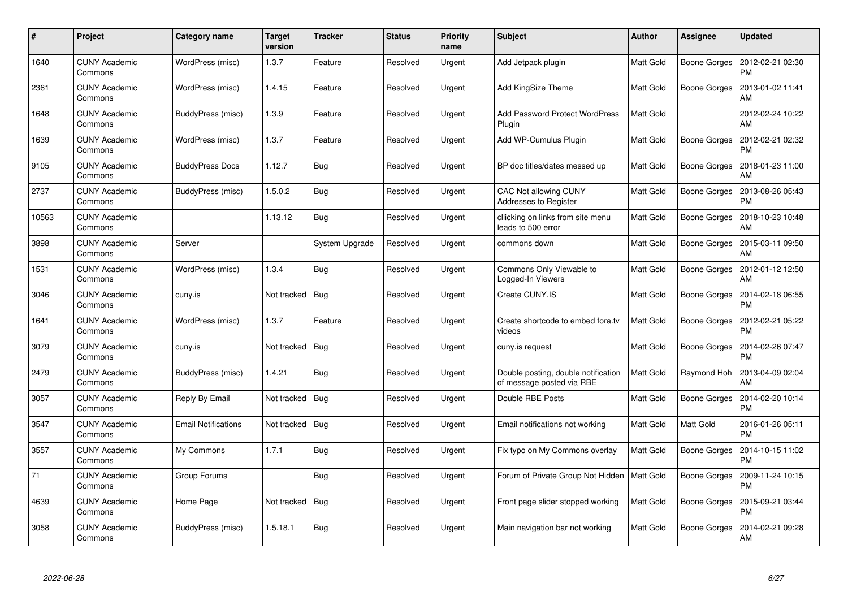| #     | Project                         | Category name              | <b>Target</b><br>version | <b>Tracker</b> | <b>Status</b> | <b>Priority</b><br>name | <b>Subject</b>                                                   | <b>Author</b>    | Assignee            | <b>Updated</b>                |
|-------|---------------------------------|----------------------------|--------------------------|----------------|---------------|-------------------------|------------------------------------------------------------------|------------------|---------------------|-------------------------------|
| 1640  | <b>CUNY Academic</b><br>Commons | WordPress (misc)           | 1.3.7                    | Feature        | Resolved      | Urgent                  | Add Jetpack plugin                                               | Matt Gold        | <b>Boone Gorges</b> | 2012-02-21 02:30<br><b>PM</b> |
| 2361  | <b>CUNY Academic</b><br>Commons | WordPress (misc)           | 1.4.15                   | Feature        | Resolved      | Urgent                  | <b>Add KingSize Theme</b>                                        | <b>Matt Gold</b> | <b>Boone Gorges</b> | 2013-01-02 11:41<br>AM        |
| 1648  | <b>CUNY Academic</b><br>Commons | BuddyPress (misc)          | 1.3.9                    | Feature        | Resolved      | Urgent                  | <b>Add Password Protect WordPress</b><br>Plugin                  | Matt Gold        |                     | 2012-02-24 10:22<br><b>AM</b> |
| 1639  | <b>CUNY Academic</b><br>Commons | WordPress (misc)           | 1.3.7                    | Feature        | Resolved      | Urgent                  | Add WP-Cumulus Plugin                                            | Matt Gold        | <b>Boone Gorges</b> | 2012-02-21 02:32<br><b>PM</b> |
| 9105  | <b>CUNY Academic</b><br>Commons | <b>BuddyPress Docs</b>     | 1.12.7                   | <b>Bug</b>     | Resolved      | Urgent                  | BP doc titles/dates messed up                                    | Matt Gold        | Boone Gorges        | 2018-01-23 11:00<br>AM        |
| 2737  | <b>CUNY Academic</b><br>Commons | BuddyPress (misc)          | 1.5.0.2                  | Bug            | Resolved      | Urgent                  | CAC Not allowing CUNY<br>Addresses to Register                   | Matt Gold        | Boone Gorges        | 2013-08-26 05:43<br><b>PM</b> |
| 10563 | <b>CUNY Academic</b><br>Commons |                            | 1.13.12                  | Bug            | Resolved      | Urgent                  | cllicking on links from site menu<br>leads to 500 error          | Matt Gold        | <b>Boone Gorges</b> | 2018-10-23 10:48<br>AM        |
| 3898  | <b>CUNY Academic</b><br>Commons | Server                     |                          | System Upgrade | Resolved      | Urgent                  | commons down                                                     | Matt Gold        | Boone Gorges        | 2015-03-11 09:50<br>AM        |
| 1531  | <b>CUNY Academic</b><br>Commons | WordPress (misc)           | 1.3.4                    | Bug            | Resolved      | Urgent                  | Commons Only Viewable to<br>Logged-In Viewers                    | <b>Matt Gold</b> | <b>Boone Gorges</b> | 2012-01-12 12:50<br>AM        |
| 3046  | <b>CUNY Academic</b><br>Commons | cuny.is                    | Not tracked              | <b>Bug</b>     | Resolved      | Urgent                  | Create CUNY.IS                                                   | <b>Matt Gold</b> | <b>Boone Gorges</b> | 2014-02-18 06:55<br><b>PM</b> |
| 1641  | <b>CUNY Academic</b><br>Commons | WordPress (misc)           | 1.3.7                    | Feature        | Resolved      | Urgent                  | Create shortcode to embed fora.tv<br>videos                      | Matt Gold        | <b>Boone Gorges</b> | 2012-02-21 05:22<br><b>PM</b> |
| 3079  | <b>CUNY Academic</b><br>Commons | cuny.is                    | Not tracked   Bug        |                | Resolved      | Urgent                  | cuny.is request                                                  | Matt Gold        | <b>Boone Gorges</b> | 2014-02-26 07:47<br><b>PM</b> |
| 2479  | <b>CUNY Academic</b><br>Commons | BuddyPress (misc)          | 1.4.21                   | Bug            | Resolved      | Urgent                  | Double posting, double notification<br>of message posted via RBE | <b>Matt Gold</b> | Raymond Hoh         | 2013-04-09 02:04<br>AM        |
| 3057  | <b>CUNY Academic</b><br>Commons | Reply By Email             | Not tracked              | <b>Bug</b>     | Resolved      | Urgent                  | Double RBE Posts                                                 | Matt Gold        | <b>Boone Gorges</b> | 2014-02-20 10:14<br><b>PM</b> |
| 3547  | <b>CUNY Academic</b><br>Commons | <b>Email Notifications</b> | Not tracked              | Bug            | Resolved      | Urgent                  | Email notifications not working                                  | Matt Gold        | Matt Gold           | 2016-01-26 05:11<br><b>PM</b> |
| 3557  | <b>CUNY Academic</b><br>Commons | My Commons                 | 1.7.1                    | Bug            | Resolved      | Urgent                  | Fix typo on My Commons overlay                                   | Matt Gold        | <b>Boone Gorges</b> | 2014-10-15 11:02<br><b>PM</b> |
| 71    | <b>CUNY Academic</b><br>Commons | Group Forums               |                          | Bug            | Resolved      | Urgent                  | Forum of Private Group Not Hidden                                | Matt Gold        | Boone Gorges        | 2009-11-24 10:15<br><b>PM</b> |
| 4639  | <b>CUNY Academic</b><br>Commons | Home Page                  | Not tracked              | Bug            | Resolved      | Urgent                  | Front page slider stopped working                                | Matt Gold        | <b>Boone Gorges</b> | 2015-09-21 03:44<br><b>PM</b> |
| 3058  | <b>CUNY Academic</b><br>Commons | BuddyPress (misc)          | 1.5.18.1                 | <b>Bug</b>     | Resolved      | Urgent                  | Main navigation bar not working                                  | <b>Matt Gold</b> | Boone Gorges        | 2014-02-21 09:28<br>AM        |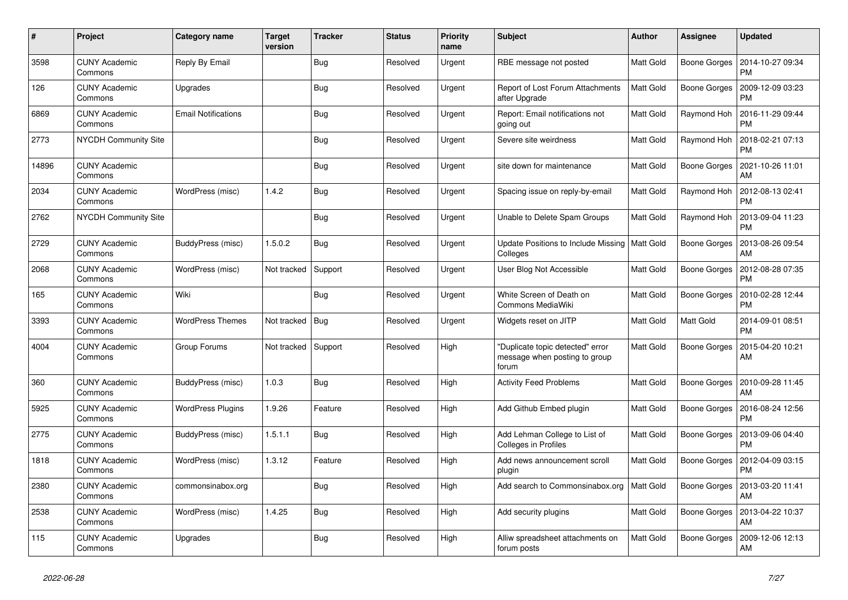| $\#$  | Project                         | Category name              | <b>Target</b><br>version | <b>Tracker</b> | <b>Status</b> | <b>Priority</b><br>name | <b>Subject</b>                                                             | <b>Author</b>    | Assignee            | <b>Updated</b>                |
|-------|---------------------------------|----------------------------|--------------------------|----------------|---------------|-------------------------|----------------------------------------------------------------------------|------------------|---------------------|-------------------------------|
| 3598  | <b>CUNY Academic</b><br>Commons | Reply By Email             |                          | Bug            | Resolved      | Urgent                  | RBE message not posted                                                     | Matt Gold        | <b>Boone Gorges</b> | 2014-10-27 09:34<br><b>PM</b> |
| 126   | <b>CUNY Academic</b><br>Commons | Upgrades                   |                          | Bug            | Resolved      | Urgent                  | Report of Lost Forum Attachments<br>after Upgrade                          | <b>Matt Gold</b> | <b>Boone Gorges</b> | 2009-12-09 03:23<br><b>PM</b> |
| 6869  | <b>CUNY Academic</b><br>Commons | <b>Email Notifications</b> |                          | <b>Bug</b>     | Resolved      | Urgent                  | Report: Email notifications not<br>going out                               | Matt Gold        | Raymond Hoh         | 2016-11-29 09:44<br><b>PM</b> |
| 2773  | <b>NYCDH Community Site</b>     |                            |                          | <b>Bug</b>     | Resolved      | Urgent                  | Severe site weirdness                                                      | Matt Gold        | Raymond Hoh         | 2018-02-21 07:13<br><b>PM</b> |
| 14896 | <b>CUNY Academic</b><br>Commons |                            |                          | Bug            | Resolved      | Urgent                  | site down for maintenance                                                  | Matt Gold        | <b>Boone Gorges</b> | 2021-10-26 11:01<br>AM        |
| 2034  | <b>CUNY Academic</b><br>Commons | WordPress (misc)           | 1.4.2                    | <b>Bug</b>     | Resolved      | Urgent                  | Spacing issue on reply-by-email                                            | Matt Gold        | Raymond Hoh         | 2012-08-13 02:41<br><b>PM</b> |
| 2762  | <b>NYCDH Community Site</b>     |                            |                          | <b>Bug</b>     | Resolved      | Urgent                  | Unable to Delete Spam Groups                                               | <b>Matt Gold</b> | Raymond Hoh         | 2013-09-04 11:23<br><b>PM</b> |
| 2729  | <b>CUNY Academic</b><br>Commons | BuddyPress (misc)          | 1.5.0.2                  | Bug            | Resolved      | Urgent                  | Update Positions to Include Missing<br>Colleges                            | Matt Gold        | <b>Boone Gorges</b> | 2013-08-26 09:54<br>AM        |
| 2068  | <b>CUNY Academic</b><br>Commons | WordPress (misc)           | Not tracked              | Support        | Resolved      | Urgent                  | User Blog Not Accessible                                                   | Matt Gold        | <b>Boone Gorges</b> | 2012-08-28 07:35<br><b>PM</b> |
| 165   | <b>CUNY Academic</b><br>Commons | Wiki                       |                          | Bug            | Resolved      | Urgent                  | White Screen of Death on<br>Commons MediaWiki                              | Matt Gold        | <b>Boone Gorges</b> | 2010-02-28 12:44<br><b>PM</b> |
| 3393  | <b>CUNY Academic</b><br>Commons | <b>WordPress Themes</b>    | Not tracked              | Bug            | Resolved      | Urgent                  | Widgets reset on JITP                                                      | Matt Gold        | Matt Gold           | 2014-09-01 08:51<br><b>PM</b> |
| 4004  | <b>CUNY Academic</b><br>Commons | Group Forums               | Not tracked              | Support        | Resolved      | High                    | "Duplicate topic detected" error<br>message when posting to group<br>forum | Matt Gold        | <b>Boone Gorges</b> | 2015-04-20 10:21<br>AM        |
| 360   | <b>CUNY Academic</b><br>Commons | BuddyPress (misc)          | 1.0.3                    | Bug            | Resolved      | High                    | <b>Activity Feed Problems</b>                                              | Matt Gold        | <b>Boone Gorges</b> | 2010-09-28 11:45<br>AM        |
| 5925  | <b>CUNY Academic</b><br>Commons | <b>WordPress Plugins</b>   | 1.9.26                   | Feature        | Resolved      | High                    | Add Github Embed plugin                                                    | Matt Gold        | <b>Boone Gorges</b> | 2016-08-24 12:56<br><b>PM</b> |
| 2775  | <b>CUNY Academic</b><br>Commons | BuddyPress (misc)          | 1.5.1.1                  | Bug            | Resolved      | High                    | Add Lehman College to List of<br>Colleges in Profiles                      | Matt Gold        | Boone Gorges        | 2013-09-06 04:40<br><b>PM</b> |
| 1818  | <b>CUNY Academic</b><br>Commons | WordPress (misc)           | 1.3.12                   | Feature        | Resolved      | High                    | Add news announcement scroll<br>plugin                                     | Matt Gold        | <b>Boone Gorges</b> | 2012-04-09 03:15<br><b>PM</b> |
| 2380  | <b>CUNY Academic</b><br>Commons | commonsinabox.org          |                          | Bug            | Resolved      | High                    | Add search to Commonsinabox.org                                            | Matt Gold        | Boone Gorges        | 2013-03-20 11:41<br>AM        |
| 2538  | <b>CUNY Academic</b><br>Commons | WordPress (misc)           | 1.4.25                   | <b>Bug</b>     | Resolved      | High                    | Add security plugins                                                       | Matt Gold        | Boone Gorges        | 2013-04-22 10:37<br>AM        |
| 115   | <b>CUNY Academic</b><br>Commons | Upgrades                   |                          | Bug            | Resolved      | High                    | Alliw spreadsheet attachments on<br>forum posts                            | Matt Gold        | <b>Boone Gorges</b> | 2009-12-06 12:13<br>AM        |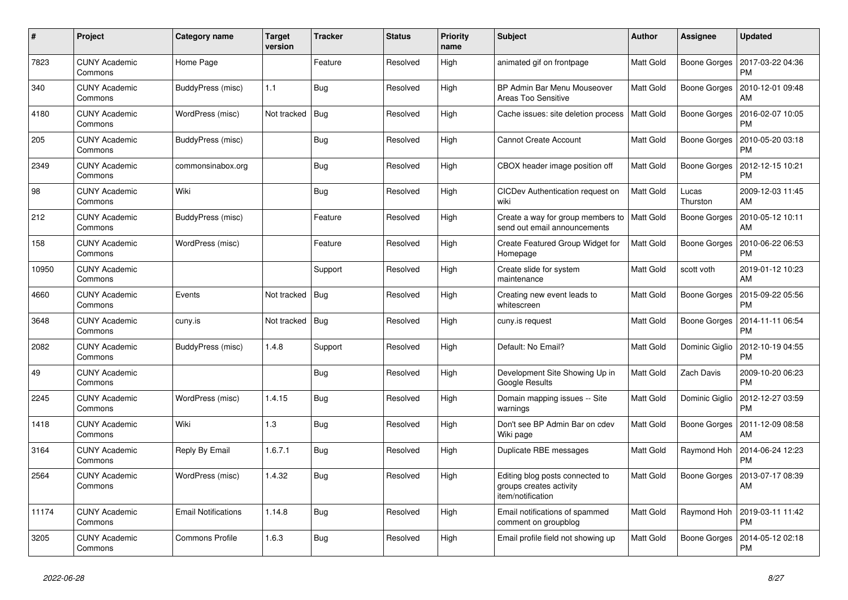| #     | Project                         | Category name              | <b>Target</b><br>version | <b>Tracker</b> | <b>Status</b> | <b>Priority</b><br>name | <b>Subject</b>                                                                  | <b>Author</b>    | Assignee            | <b>Updated</b>                |
|-------|---------------------------------|----------------------------|--------------------------|----------------|---------------|-------------------------|---------------------------------------------------------------------------------|------------------|---------------------|-------------------------------|
| 7823  | <b>CUNY Academic</b><br>Commons | Home Page                  |                          | Feature        | Resolved      | High                    | animated gif on frontpage                                                       | <b>Matt Gold</b> | <b>Boone Gorges</b> | 2017-03-22 04:36<br><b>PM</b> |
| 340   | <b>CUNY Academic</b><br>Commons | BuddyPress (misc)          | 1.1                      | <b>Bug</b>     | Resolved      | High                    | BP Admin Bar Menu Mouseover<br><b>Areas Too Sensitive</b>                       | <b>Matt Gold</b> | <b>Boone Gorges</b> | 2010-12-01 09:48<br>AM        |
| 4180  | <b>CUNY Academic</b><br>Commons | WordPress (misc)           | Not tracked              | Bug            | Resolved      | High                    | Cache issues: site deletion process                                             | <b>Matt Gold</b> | <b>Boone Gorges</b> | 2016-02-07 10:05<br><b>PM</b> |
| 205   | <b>CUNY Academic</b><br>Commons | BuddyPress (misc)          |                          | Bug            | Resolved      | High                    | <b>Cannot Create Account</b>                                                    | Matt Gold        | <b>Boone Gorges</b> | 2010-05-20 03:18<br><b>PM</b> |
| 2349  | <b>CUNY Academic</b><br>Commons | commonsinabox.org          |                          | <b>Bug</b>     | Resolved      | High                    | CBOX header image position off                                                  | Matt Gold        | <b>Boone Gorges</b> | 2012-12-15 10:21<br><b>PM</b> |
| 98    | <b>CUNY Academic</b><br>Commons | Wiki                       |                          | Bug            | Resolved      | High                    | CICDev Authentication request on<br>wiki                                        | <b>Matt Gold</b> | Lucas<br>Thurston   | 2009-12-03 11:45<br>AM        |
| 212   | <b>CUNY Academic</b><br>Commons | BuddyPress (misc)          |                          | Feature        | Resolved      | High                    | Create a way for group members to<br>send out email announcements               | <b>Matt Gold</b> | <b>Boone Gorges</b> | 2010-05-12 10:11<br>AM        |
| 158   | <b>CUNY Academic</b><br>Commons | WordPress (misc)           |                          | Feature        | Resolved      | High                    | Create Featured Group Widget for<br>Homepage                                    | <b>Matt Gold</b> | <b>Boone Gorges</b> | 2010-06-22 06:53<br><b>PM</b> |
| 10950 | <b>CUNY Academic</b><br>Commons |                            |                          | Support        | Resolved      | High                    | Create slide for system<br>maintenance                                          | Matt Gold        | scott voth          | 2019-01-12 10:23<br>AM        |
| 4660  | <b>CUNY Academic</b><br>Commons | Events                     | Not tracked              | Bug            | Resolved      | High                    | Creating new event leads to<br>whitescreen                                      | <b>Matt Gold</b> | <b>Boone Gorges</b> | 2015-09-22 05:56<br><b>PM</b> |
| 3648  | <b>CUNY Academic</b><br>Commons | cuny.is                    | Not tracked              | Bug            | Resolved      | High                    | cuny.is request                                                                 | Matt Gold        | Boone Gorges        | 2014-11-11 06:54<br><b>PM</b> |
| 2082  | <b>CUNY Academic</b><br>Commons | BuddyPress (misc)          | 1.4.8                    | Support        | Resolved      | High                    | Default: No Email?                                                              | <b>Matt Gold</b> | Dominic Giglio      | 2012-10-19 04:55<br><b>PM</b> |
| 49    | <b>CUNY Academic</b><br>Commons |                            |                          | Bug            | Resolved      | High                    | Development Site Showing Up in<br>Google Results                                | <b>Matt Gold</b> | Zach Davis          | 2009-10-20 06:23<br><b>PM</b> |
| 2245  | <b>CUNY Academic</b><br>Commons | WordPress (misc)           | 1.4.15                   | <b>Bug</b>     | Resolved      | High                    | Domain mapping issues -- Site<br>warnings                                       | Matt Gold        | Dominic Giglio      | 2012-12-27 03:59<br><b>PM</b> |
| 1418  | <b>CUNY Academic</b><br>Commons | Wiki                       | 1.3                      | Bug            | Resolved      | High                    | Don't see BP Admin Bar on cdev<br>Wiki page                                     | Matt Gold        | <b>Boone Gorges</b> | 2011-12-09 08:58<br>AM        |
| 3164  | <b>CUNY Academic</b><br>Commons | Reply By Email             | 1.6.7.1                  | <b>Bug</b>     | Resolved      | High                    | Duplicate RBE messages                                                          | Matt Gold        | Raymond Hoh         | 2014-06-24 12:23<br><b>PM</b> |
| 2564  | <b>CUNY Academic</b><br>Commons | WordPress (misc)           | 1.4.32                   | <b>Bug</b>     | Resolved      | High                    | Editing blog posts connected to<br>groups creates activity<br>item/notification | <b>Matt Gold</b> | Boone Gorges        | 2013-07-17 08:39<br>AM        |
| 11174 | <b>CUNY Academic</b><br>Commons | <b>Email Notifications</b> | 1.14.8                   | <b>Bug</b>     | Resolved      | High                    | Email notifications of spammed<br>comment on groupblog                          | Matt Gold        | Raymond Hoh         | 2019-03-11 11:42<br><b>PM</b> |
| 3205  | <b>CUNY Academic</b><br>Commons | <b>Commons Profile</b>     | 1.6.3                    | Bug            | Resolved      | High                    | Email profile field not showing up                                              | Matt Gold        | <b>Boone Gorges</b> | 2014-05-12 02:18<br>PM        |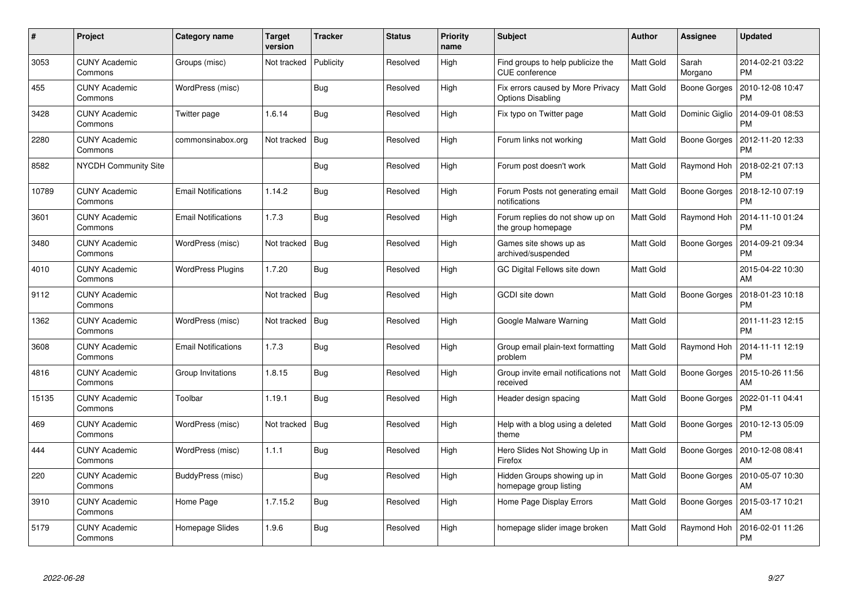| $\#$  | Project                         | Category name              | <b>Target</b><br>version | <b>Tracker</b> | <b>Status</b> | <b>Priority</b><br>name | <b>Subject</b>                                                | <b>Author</b>    | Assignee            | <b>Updated</b>                |
|-------|---------------------------------|----------------------------|--------------------------|----------------|---------------|-------------------------|---------------------------------------------------------------|------------------|---------------------|-------------------------------|
| 3053  | <b>CUNY Academic</b><br>Commons | Groups (misc)              | Not tracked              | Publicity      | Resolved      | High                    | Find groups to help publicize the<br><b>CUE</b> conference    | <b>Matt Gold</b> | Sarah<br>Morgano    | 2014-02-21 03:22<br><b>PM</b> |
| 455   | <b>CUNY Academic</b><br>Commons | WordPress (misc)           |                          | <b>Bug</b>     | Resolved      | High                    | Fix errors caused by More Privacy<br><b>Options Disabling</b> | <b>Matt Gold</b> | <b>Boone Gorges</b> | 2010-12-08 10:47<br><b>PM</b> |
| 3428  | <b>CUNY Academic</b><br>Commons | Twitter page               | 1.6.14                   | <b>Bug</b>     | Resolved      | High                    | Fix typo on Twitter page                                      | <b>Matt Gold</b> | Dominic Giglio      | 2014-09-01 08:53<br><b>PM</b> |
| 2280  | <b>CUNY Academic</b><br>Commons | commonsinabox.org          | Not tracked              | Bug            | Resolved      | High                    | Forum links not working                                       | Matt Gold        | <b>Boone Gorges</b> | 2012-11-20 12:33<br><b>PM</b> |
| 8582  | <b>NYCDH Community Site</b>     |                            |                          | <b>Bug</b>     | Resolved      | High                    | Forum post doesn't work                                       | <b>Matt Gold</b> | Raymond Hoh         | 2018-02-21 07:13<br><b>PM</b> |
| 10789 | <b>CUNY Academic</b><br>Commons | <b>Email Notifications</b> | 1.14.2                   | <b>Bug</b>     | Resolved      | High                    | Forum Posts not generating email<br>notifications             | <b>Matt Gold</b> | Boone Gorges        | 2018-12-10 07:19<br><b>PM</b> |
| 3601  | <b>CUNY Academic</b><br>Commons | <b>Email Notifications</b> | 1.7.3                    | Bug            | Resolved      | High                    | Forum replies do not show up on<br>the group homepage         | <b>Matt Gold</b> | Raymond Hoh         | 2014-11-10 01:24<br><b>PM</b> |
| 3480  | <b>CUNY Academic</b><br>Commons | WordPress (misc)           | Not tracked              | Bug            | Resolved      | High                    | Games site shows up as<br>archived/suspended                  | Matt Gold        | Boone Gorges        | 2014-09-21 09:34<br><b>PM</b> |
| 4010  | <b>CUNY Academic</b><br>Commons | <b>WordPress Plugins</b>   | 1.7.20                   | <b>Bug</b>     | Resolved      | High                    | GC Digital Fellows site down                                  | Matt Gold        |                     | 2015-04-22 10:30<br>AM        |
| 9112  | <b>CUNY Academic</b><br>Commons |                            | Not tracked              | Bug            | Resolved      | High                    | GCDI site down                                                | <b>Matt Gold</b> | <b>Boone Gorges</b> | 2018-01-23 10:18<br><b>PM</b> |
| 1362  | <b>CUNY Academic</b><br>Commons | WordPress (misc)           | Not tracked              | Bug            | Resolved      | High                    | Google Malware Warning                                        | Matt Gold        |                     | 2011-11-23 12:15<br><b>PM</b> |
| 3608  | <b>CUNY Academic</b><br>Commons | <b>Email Notifications</b> | 1.7.3                    | <b>Bug</b>     | Resolved      | High                    | Group email plain-text formatting<br>problem                  | Matt Gold        | Raymond Hoh         | 2014-11-11 12:19<br><b>PM</b> |
| 4816  | <b>CUNY Academic</b><br>Commons | Group Invitations          | 1.8.15                   | Bug            | Resolved      | High                    | Group invite email notifications not<br>received              | Matt Gold        | <b>Boone Gorges</b> | 2015-10-26 11:56<br>AM        |
| 15135 | <b>CUNY Academic</b><br>Commons | Toolbar                    | 1.19.1                   | Bug            | Resolved      | High                    | Header design spacing                                         | Matt Gold        | <b>Boone Gorges</b> | 2022-01-11 04:41<br><b>PM</b> |
| 469   | <b>CUNY Academic</b><br>Commons | WordPress (misc)           | Not tracked              | <b>Bug</b>     | Resolved      | High                    | Help with a blog using a deleted<br>theme                     | Matt Gold        | Boone Gorges        | 2010-12-13 05:09<br><b>PM</b> |
| 444   | <b>CUNY Academic</b><br>Commons | WordPress (misc)           | 1.1.1                    | <b>Bug</b>     | Resolved      | High                    | Hero Slides Not Showing Up in<br>Firefox                      | <b>Matt Gold</b> | <b>Boone Gorges</b> | 2010-12-08 08:41<br>AM        |
| 220   | CUNY Academic<br>Commons        | BuddyPress (misc)          |                          | Bug            | Resolved      | High                    | Hidden Groups showing up in<br>homepage group listing         | Matt Gold        | Boone Gorges        | 2010-05-07 10:30<br>AM        |
| 3910  | <b>CUNY Academic</b><br>Commons | Home Page                  | 1.7.15.2                 | Bug            | Resolved      | High                    | Home Page Display Errors                                      | Matt Gold        | <b>Boone Gorges</b> | 2015-03-17 10:21<br>AM        |
| 5179  | CUNY Academic<br>Commons        | Homepage Slides            | 1.9.6                    | <b>Bug</b>     | Resolved      | High                    | homepage slider image broken                                  | <b>Matt Gold</b> | Raymond Hoh         | 2016-02-01 11:26<br><b>PM</b> |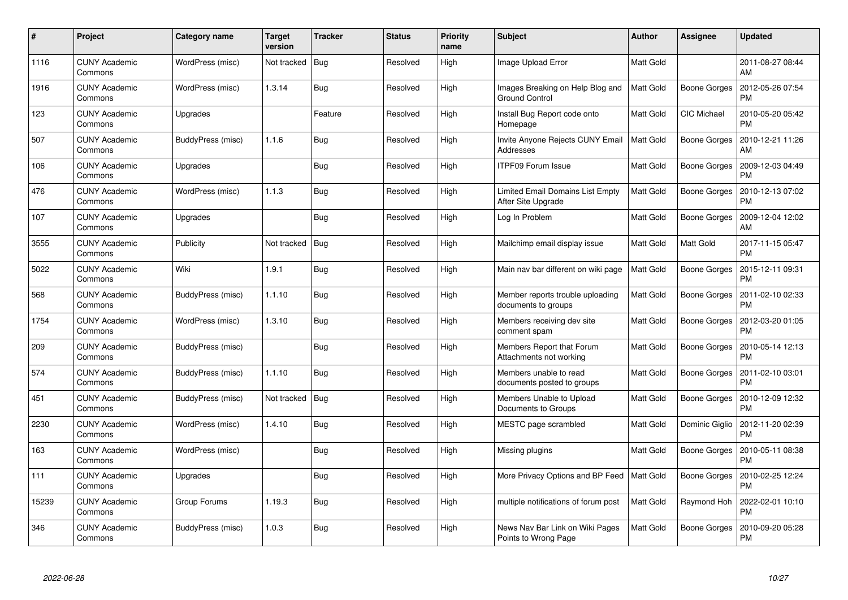| $\#$  | Project                         | Category name     | <b>Target</b><br>version | <b>Tracker</b> | <b>Status</b> | <b>Priority</b><br>name | <b>Subject</b>                                          | <b>Author</b>    | Assignee            | <b>Updated</b>                |
|-------|---------------------------------|-------------------|--------------------------|----------------|---------------|-------------------------|---------------------------------------------------------|------------------|---------------------|-------------------------------|
| 1116  | <b>CUNY Academic</b><br>Commons | WordPress (misc)  | Not tracked              | <b>Bug</b>     | Resolved      | High                    | Image Upload Error                                      | Matt Gold        |                     | 2011-08-27 08:44<br>AM        |
| 1916  | <b>CUNY Academic</b><br>Commons | WordPress (misc)  | 1.3.14                   | Bug            | Resolved      | High                    | Images Breaking on Help Blog and<br>Ground Control      | <b>Matt Gold</b> | <b>Boone Gorges</b> | 2012-05-26 07:54<br><b>PM</b> |
| 123   | <b>CUNY Academic</b><br>Commons | Upgrades          |                          | Feature        | Resolved      | High                    | Install Bug Report code onto<br>Homepage                | Matt Gold        | <b>CIC Michael</b>  | 2010-05-20 05:42<br><b>PM</b> |
| 507   | <b>CUNY Academic</b><br>Commons | BuddyPress (misc) | 1.1.6                    | <b>Bug</b>     | Resolved      | High                    | Invite Anyone Rejects CUNY Email<br>Addresses           | Matt Gold        | Boone Gorges        | 2010-12-21 11:26<br>AM        |
| 106   | <b>CUNY Academic</b><br>Commons | Upgrades          |                          | Bug            | Resolved      | High                    | <b>ITPF09 Forum Issue</b>                               | Matt Gold        | <b>Boone Gorges</b> | 2009-12-03 04:49<br><b>PM</b> |
| 476   | <b>CUNY Academic</b><br>Commons | WordPress (misc)  | 1.1.3                    | Bug            | Resolved      | High                    | Limited Email Domains List Empty<br>After Site Upgrade  | <b>Matt Gold</b> | Boone Gorges        | 2010-12-13 07:02<br><b>PM</b> |
| 107   | <b>CUNY Academic</b><br>Commons | Upgrades          |                          | Bug            | Resolved      | High                    | Log In Problem                                          | Matt Gold        | <b>Boone Gorges</b> | 2009-12-04 12:02<br>AM        |
| 3555  | <b>CUNY Academic</b><br>Commons | Publicity         | Not tracked              | Bug            | Resolved      | High                    | Mailchimp email display issue                           | Matt Gold        | Matt Gold           | 2017-11-15 05:47<br><b>PM</b> |
| 5022  | <b>CUNY Academic</b><br>Commons | Wiki              | 1.9.1                    | <b>Bug</b>     | Resolved      | High                    | Main nav bar different on wiki page                     | <b>Matt Gold</b> | <b>Boone Gorges</b> | 2015-12-11 09:31<br><b>PM</b> |
| 568   | <b>CUNY Academic</b><br>Commons | BuddyPress (misc) | 1.1.10                   | Bug            | Resolved      | High                    | Member reports trouble uploading<br>documents to groups | <b>Matt Gold</b> | <b>Boone Gorges</b> | 2011-02-10 02:33<br><b>PM</b> |
| 1754  | <b>CUNY Academic</b><br>Commons | WordPress (misc)  | 1.3.10                   | <b>Bug</b>     | Resolved      | High                    | Members receiving dev site<br>comment spam              | Matt Gold        | <b>Boone Gorges</b> | 2012-03-20 01:05<br><b>PM</b> |
| 209   | <b>CUNY Academic</b><br>Commons | BuddyPress (misc) |                          | <b>Bug</b>     | Resolved      | High                    | Members Report that Forum<br>Attachments not working    | Matt Gold        | <b>Boone Gorges</b> | 2010-05-14 12:13<br><b>PM</b> |
| 574   | <b>CUNY Academic</b><br>Commons | BuddyPress (misc) | 1.1.10                   | Bug            | Resolved      | High                    | Members unable to read<br>documents posted to groups    | Matt Gold        | <b>Boone Gorges</b> | 2011-02-10 03:01<br><b>PM</b> |
| 451   | <b>CUNY Academic</b><br>Commons | BuddyPress (misc) | Not tracked              | Bug            | Resolved      | High                    | Members Unable to Upload<br>Documents to Groups         | Matt Gold        | <b>Boone Gorges</b> | 2010-12-09 12:32<br><b>PM</b> |
| 2230  | <b>CUNY Academic</b><br>Commons | WordPress (misc)  | 1.4.10                   | <b>Bug</b>     | Resolved      | High                    | MESTC page scrambled                                    | Matt Gold        | Dominic Giglio      | 2012-11-20 02:39<br><b>PM</b> |
| 163   | <b>CUNY Academic</b><br>Commons | WordPress (misc)  |                          | Bug            | Resolved      | High                    | Missing plugins                                         | Matt Gold        | <b>Boone Gorges</b> | 2010-05-11 08:38<br><b>PM</b> |
| 111   | CUNY Academic<br>Commons        | Upgrades          |                          | Bug            | Resolved      | High                    | More Privacy Options and BP Feed   Matt Gold            |                  | Boone Gorges        | 2010-02-25 12:24<br><b>PM</b> |
| 15239 | <b>CUNY Academic</b><br>Commons | Group Forums      | 1.19.3                   | <b>Bug</b>     | Resolved      | High                    | multiple notifications of forum post                    | Matt Gold        | Raymond Hoh         | 2022-02-01 10:10<br><b>PM</b> |
| 346   | CUNY Academic<br>Commons        | BuddyPress (misc) | 1.0.3                    | <b>Bug</b>     | Resolved      | High                    | News Nav Bar Link on Wiki Pages<br>Points to Wrong Page | <b>Matt Gold</b> | Boone Gorges        | 2010-09-20 05:28<br>PM        |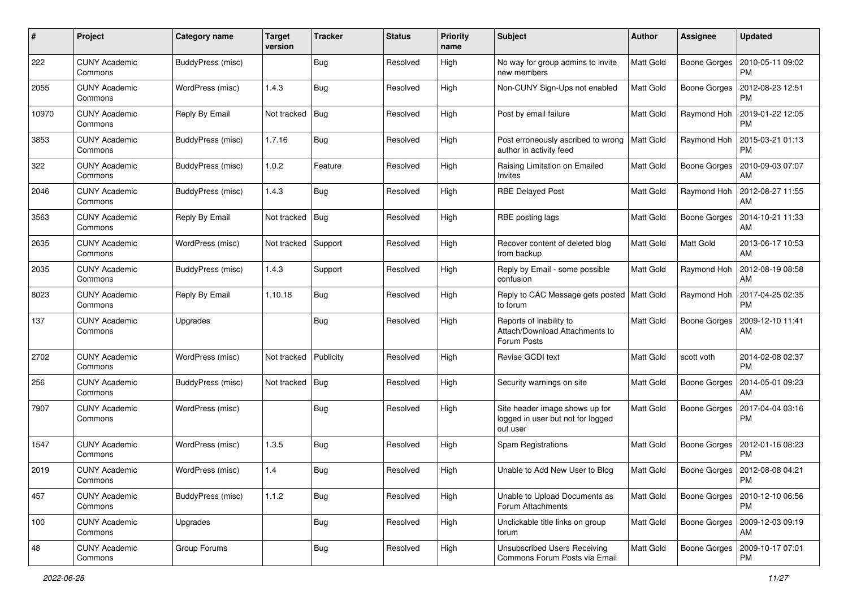| $\#$  | Project                         | <b>Category name</b> | <b>Target</b><br>version | <b>Tracker</b> | <b>Status</b> | <b>Priority</b><br>name | <b>Subject</b>                                                                  | <b>Author</b>    | <b>Assignee</b>     | <b>Updated</b>                        |
|-------|---------------------------------|----------------------|--------------------------|----------------|---------------|-------------------------|---------------------------------------------------------------------------------|------------------|---------------------|---------------------------------------|
| 222   | <b>CUNY Academic</b><br>Commons | BuddyPress (misc)    |                          | <b>Bug</b>     | Resolved      | High                    | No way for group admins to invite<br>new members                                | Matt Gold        | <b>Boone Gorges</b> | 2010-05-11 09:02<br><b>PM</b>         |
| 2055  | <b>CUNY Academic</b><br>Commons | WordPress (misc)     | 1.4.3                    | Bug            | Resolved      | High                    | Non-CUNY Sign-Ups not enabled                                                   | Matt Gold        | <b>Boone Gorges</b> | 2012-08-23 12:51<br><b>PM</b>         |
| 10970 | CUNY Academic<br>Commons        | Reply By Email       | Not tracked              | Bug            | Resolved      | High                    | Post by email failure                                                           | Matt Gold        | Raymond Hoh         | 2019-01-22 12:05<br><b>PM</b>         |
| 3853  | <b>CUNY Academic</b><br>Commons | BuddyPress (misc)    | 1.7.16                   | <b>Bug</b>     | Resolved      | High                    | Post erroneously ascribed to wrong<br>author in activity feed                   | <b>Matt Gold</b> | Raymond Hoh         | 2015-03-21 01:13<br><b>PM</b>         |
| 322   | <b>CUNY Academic</b><br>Commons | BuddyPress (misc)    | 1.0.2                    | Feature        | Resolved      | High                    | Raising Limitation on Emailed<br>Invites                                        | Matt Gold        | Boone Gorges        | 2010-09-03 07:07<br>AM                |
| 2046  | <b>CUNY Academic</b><br>Commons | BuddyPress (misc)    | 1.4.3                    | Bug            | Resolved      | High                    | <b>RBE Delayed Post</b>                                                         | Matt Gold        | Raymond Hoh         | 2012-08-27 11:55<br>AM                |
| 3563  | <b>CUNY Academic</b><br>Commons | Reply By Email       | Not tracked              | Bug            | Resolved      | High                    | RBE posting lags                                                                | Matt Gold        | <b>Boone Gorges</b> | 2014-10-21 11:33<br>AM                |
| 2635  | <b>CUNY Academic</b><br>Commons | WordPress (misc)     | Not tracked              | Support        | Resolved      | High                    | Recover content of deleted blog<br>from backup                                  | Matt Gold        | Matt Gold           | 2013-06-17 10:53<br>AM                |
| 2035  | <b>CUNY Academic</b><br>Commons | BuddyPress (misc)    | 1.4.3                    | Support        | Resolved      | High                    | Reply by Email - some possible<br>confusion                                     | Matt Gold        | Raymond Hoh         | 2012-08-19 08:58<br>AM                |
| 8023  | CUNY Academic<br>Commons        | Reply By Email       | 1.10.18                  | Bug            | Resolved      | High                    | Reply to CAC Message gets posted<br>to forum                                    | Matt Gold        | Raymond Hoh         | 2017-04-25 02:35<br><b>PM</b>         |
| 137   | <b>CUNY Academic</b><br>Commons | Upgrades             |                          | Bug            | Resolved      | High                    | Reports of Inability to<br>Attach/Download Attachments to<br>Forum Posts        | Matt Gold        | <b>Boone Gorges</b> | 2009-12-10 11:41<br>AM                |
| 2702  | <b>CUNY Academic</b><br>Commons | WordPress (misc)     | Not tracked              | Publicity      | Resolved      | High                    | Revise GCDI text                                                                | Matt Gold        | scott voth          | 2014-02-08 02:37<br><b>PM</b>         |
| 256   | <b>CUNY Academic</b><br>Commons | BuddyPress (misc)    | Not tracked              | Bug            | Resolved      | High                    | Security warnings on site                                                       | Matt Gold        | <b>Boone Gorges</b> | 2014-05-01 09:23<br>AM                |
| 7907  | <b>CUNY Academic</b><br>Commons | WordPress (misc)     |                          | Bug            | Resolved      | High                    | Site header image shows up for<br>logged in user but not for logged<br>out user | Matt Gold        | <b>Boone Gorges</b> | 2017-04-04 03:16<br><b>PM</b>         |
| 1547  | <b>CUNY Academic</b><br>Commons | WordPress (misc)     | 1.3.5                    | Bug            | Resolved      | High                    | Spam Registrations                                                              | Matt Gold        | <b>Boone Gorges</b> | 2012-01-16 08:23<br><b>PM</b>         |
| 2019  | CUNY Academic<br>Commons        | WordPress (misc)     | 1.4                      | Bug            | Resolved      | High                    | Unable to Add New User to Blog                                                  | Matt Gold        | Boone Gorges        | 2012-08-08 04:21<br>PM                |
| 457   | <b>CUNY Academic</b><br>Commons | BuddyPress (misc)    | 1.1.2                    | <b>Bug</b>     | Resolved      | High                    | Unable to Upload Documents as<br>Forum Attachments                              | Matt Gold        | <b>Boone Gorges</b> | 2010-12-10 06:56<br><b>PM</b>         |
| 100   | <b>CUNY Academic</b><br>Commons | Upgrades             |                          | <b>Bug</b>     | Resolved      | High                    | Unclickable title links on group<br>forum                                       | Matt Gold        |                     | Boone Gorges   2009-12-03 09:19<br>AM |
| 48    | <b>CUNY Academic</b><br>Commons | Group Forums         |                          | <b>Bug</b>     | Resolved      | High                    | <b>Unsubscribed Users Receiving</b><br>Commons Forum Posts via Email            | Matt Gold        | <b>Boone Gorges</b> | 2009-10-17 07:01<br>PM                |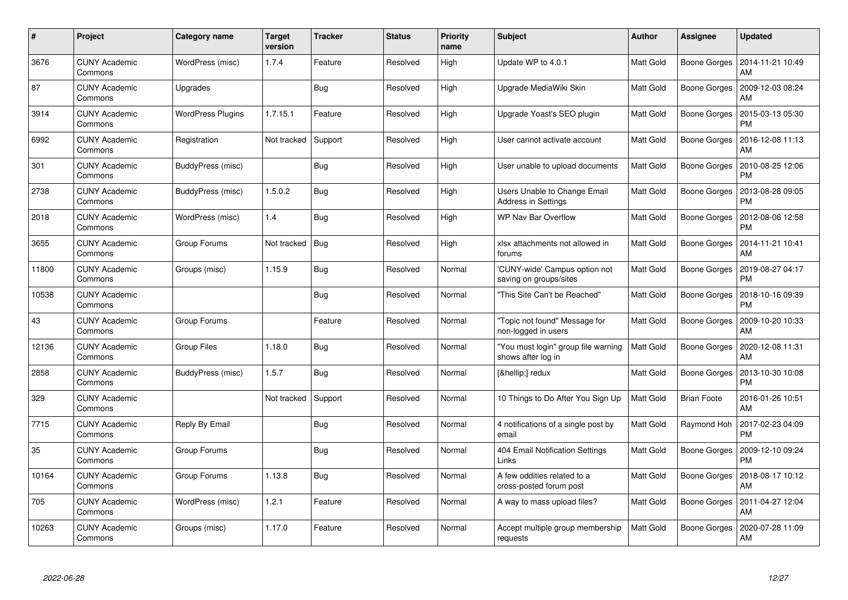| #     | Project                         | Category name            | Target<br>version | <b>Tracker</b> | <b>Status</b> | <b>Priority</b><br>name | <b>Subject</b>                                             | <b>Author</b>    | <b>Assignee</b>     | <b>Updated</b>                |
|-------|---------------------------------|--------------------------|-------------------|----------------|---------------|-------------------------|------------------------------------------------------------|------------------|---------------------|-------------------------------|
| 3676  | <b>CUNY Academic</b><br>Commons | WordPress (misc)         | 1.7.4             | Feature        | Resolved      | High                    | Update WP to 4.0.1                                         | <b>Matt Gold</b> | Boone Gorges        | 2014-11-21 10:49<br>AM        |
| 87    | <b>CUNY Academic</b><br>Commons | Upgrades                 |                   | Bug            | Resolved      | High                    | Upgrade MediaWiki Skin                                     | Matt Gold        | <b>Boone Gorges</b> | 2009-12-03 08:24<br>AM        |
| 3914  | <b>CUNY Academic</b><br>Commons | <b>WordPress Plugins</b> | 1.7.15.1          | Feature        | Resolved      | High                    | Upgrade Yoast's SEO plugin                                 | Matt Gold        | Boone Gorges        | 2015-03-13 05:30<br><b>PM</b> |
| 6992  | <b>CUNY Academic</b><br>Commons | Registration             | Not tracked       | Support        | Resolved      | High                    | User cannot activate account                               | Matt Gold        | Boone Gorges        | 2016-12-08 11:13<br>AM        |
| 301   | <b>CUNY Academic</b><br>Commons | BuddyPress (misc)        |                   | Bug            | Resolved      | High                    | User unable to upload documents                            | Matt Gold        | Boone Gorges        | 2010-08-25 12:06<br><b>PM</b> |
| 2738  | <b>CUNY Academic</b><br>Commons | BuddyPress (misc)        | 1.5.0.2           | Bug            | Resolved      | High                    | Users Unable to Change Email<br><b>Address in Settings</b> | Matt Gold        | Boone Gorges        | 2013-08-28 09:05<br><b>PM</b> |
| 2018  | <b>CUNY Academic</b><br>Commons | WordPress (misc)         | 1.4               | <b>Bug</b>     | Resolved      | High                    | <b>WP Nav Bar Overflow</b>                                 | Matt Gold        | Boone Gorges        | 2012-08-06 12:58<br><b>PM</b> |
| 3655  | <b>CUNY Academic</b><br>Commons | Group Forums             | Not tracked       | <b>Bug</b>     | Resolved      | High                    | xlsx attachments not allowed in<br>forums                  | Matt Gold        | Boone Gorges        | 2014-11-21 10:41<br>AM        |
| 11800 | <b>CUNY Academic</b><br>Commons | Groups (misc)            | 1.15.9            | <b>Bug</b>     | Resolved      | Normal                  | 'CUNY-wide' Campus option not<br>saving on groups/sites    | <b>Matt Gold</b> | Boone Gorges        | 2019-08-27 04:17<br>PM        |
| 10538 | <b>CUNY Academic</b><br>Commons |                          |                   | <b>Bug</b>     | Resolved      | Normal                  | 'This Site Can't be Reached"                               | <b>Matt Gold</b> | Boone Gorges        | 2018-10-16 09:39<br><b>PM</b> |
| 43    | <b>CUNY Academic</b><br>Commons | Group Forums             |                   | Feature        | Resolved      | Normal                  | 'Topic not found" Message for<br>non-logged in users       | Matt Gold        | Boone Gorges        | 2009-10-20 10:33<br>AM        |
| 12136 | <b>CUNY Academic</b><br>Commons | Group Files              | 1.18.0            | <b>Bug</b>     | Resolved      | Normal                  | 'You must login" group file warning<br>shows after log in  | Matt Gold        | Boone Gorges        | 2020-12-08 11:31<br>AM        |
| 2858  | <b>CUNY Academic</b><br>Commons | BuddyPress (misc)        | 1.5.7             | Bug            | Resolved      | Normal                  | […] redux                                                  | <b>Matt Gold</b> | Boone Gorges        | 2013-10-30 10:08<br><b>PM</b> |
| 329   | <b>CUNY Academic</b><br>Commons |                          | Not tracked       | Support        | Resolved      | Normal                  | 10 Things to Do After You Sign Up                          | Matt Gold        | <b>Brian Foote</b>  | 2016-01-26 10:51<br>AM        |
| 7715  | <b>CUNY Academic</b><br>Commons | Reply By Email           |                   | <b>Bug</b>     | Resolved      | Normal                  | 4 notifications of a single post by<br>email               | Matt Gold        | Raymond Hoh         | 2017-02-23 04:09<br><b>PM</b> |
| 35    | <b>CUNY Academic</b><br>Commons | Group Forums             |                   | Bug            | Resolved      | Normal                  | 404 Email Notification Settings<br>Links                   | <b>Matt Gold</b> | Boone Gorges        | 2009-12-10 09:24<br><b>PM</b> |
| 10164 | <b>CUNY Academic</b><br>Commons | Group Forums             | 1.13.8            | Bug            | Resolved      | Normal                  | A few oddities related to a<br>cross-posted forum post     | Matt Gold        | Boone Gorges        | 2018-08-17 10:12<br>AM        |
| 705   | <b>CUNY Academic</b><br>Commons | WordPress (misc)         | 1.2.1             | Feature        | Resolved      | Normal                  | A way to mass upload files?                                | Matt Gold        | Boone Gorges        | 2011-04-27 12:04<br>AM        |
| 10263 | CUNY Academic<br>Commons        | Groups (misc)            | 1.17.0            | Feature        | Resolved      | Normal                  | Accept multiple group membership<br>requests               | <b>Matt Gold</b> | Boone Gorges        | 2020-07-28 11:09<br>AM        |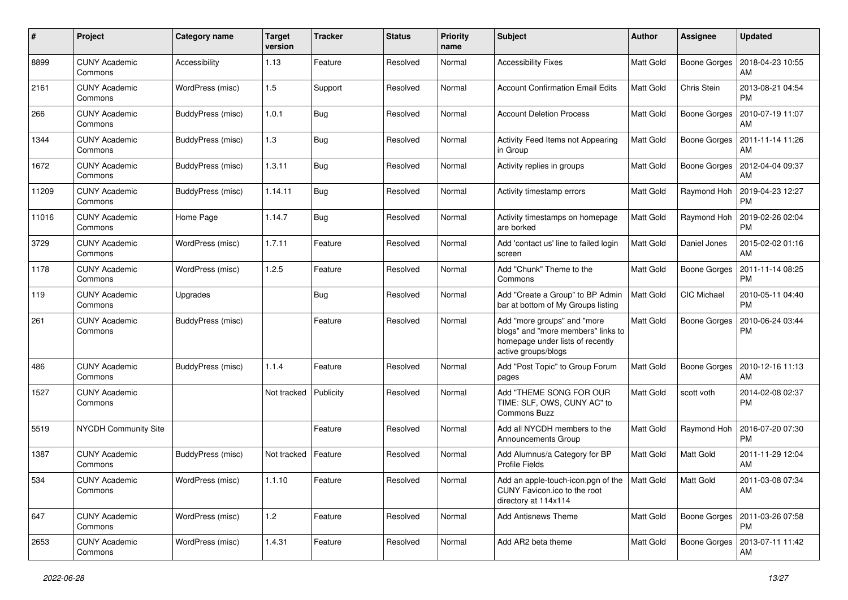| #     | Project                         | <b>Category name</b> | <b>Target</b><br>version | <b>Tracker</b> | <b>Status</b> | <b>Priority</b><br>name | <b>Subject</b>                                                                                                               | Author           | <b>Assignee</b>     | <b>Updated</b>                               |
|-------|---------------------------------|----------------------|--------------------------|----------------|---------------|-------------------------|------------------------------------------------------------------------------------------------------------------------------|------------------|---------------------|----------------------------------------------|
| 8899  | <b>CUNY Academic</b><br>Commons | Accessibility        | 1.13                     | Feature        | Resolved      | Normal                  | <b>Accessibility Fixes</b>                                                                                                   | <b>Matt Gold</b> | <b>Boone Gorges</b> | 2018-04-23 10:55<br>AM                       |
| 2161  | <b>CUNY Academic</b><br>Commons | WordPress (misc)     | 1.5                      | Support        | Resolved      | Normal                  | <b>Account Confirmation Email Edits</b>                                                                                      | <b>Matt Gold</b> | Chris Stein         | 2013-08-21 04:54<br><b>PM</b>                |
| 266   | CUNY Academic<br>Commons        | BuddyPress (misc)    | 1.0.1                    | Bug            | Resolved      | Normal                  | <b>Account Deletion Process</b>                                                                                              | <b>Matt Gold</b> | <b>Boone Gorges</b> | 2010-07-19 11:07<br>AM                       |
| 1344  | <b>CUNY Academic</b><br>Commons | BuddyPress (misc)    | 1.3                      | Bug            | Resolved      | Normal                  | Activity Feed Items not Appearing<br>in Group                                                                                | <b>Matt Gold</b> | <b>Boone Gorges</b> | 2011-11-14 11:26<br>AM                       |
| 1672  | <b>CUNY Academic</b><br>Commons | BuddyPress (misc)    | 1.3.11                   | <b>Bug</b>     | Resolved      | Normal                  | Activity replies in groups                                                                                                   | Matt Gold        | Boone Gorges        | 2012-04-04 09:37<br>AM                       |
| 11209 | <b>CUNY Academic</b><br>Commons | BuddyPress (misc)    | 1.14.11                  | Bug            | Resolved      | Normal                  | Activity timestamp errors                                                                                                    | Matt Gold        | Raymond Hoh         | 2019-04-23 12:27<br><b>PM</b>                |
| 11016 | <b>CUNY Academic</b><br>Commons | Home Page            | 1.14.7                   | Bug            | Resolved      | Normal                  | Activity timestamps on homepage<br>are borked                                                                                | Matt Gold        | Raymond Hoh         | 2019-02-26 02:04<br><b>PM</b>                |
| 3729  | <b>CUNY Academic</b><br>Commons | WordPress (misc)     | 1.7.11                   | Feature        | Resolved      | Normal                  | Add 'contact us' line to failed login<br>screen                                                                              | <b>Matt Gold</b> | Daniel Jones        | 2015-02-02 01:16<br>AM                       |
| 1178  | <b>CUNY Academic</b><br>Commons | WordPress (misc)     | 1.2.5                    | Feature        | Resolved      | Normal                  | Add "Chunk" Theme to the<br>Commons                                                                                          | <b>Matt Gold</b> | <b>Boone Gorges</b> | 2011-11-14 08:25<br><b>PM</b>                |
| 119   | CUNY Academic<br>Commons        | Upgrades             |                          | <b>Bug</b>     | Resolved      | Normal                  | Add "Create a Group" to BP Admin<br>bar at bottom of My Groups listing                                                       | <b>Matt Gold</b> | CIC Michael         | 2010-05-11 04:40<br><b>PM</b>                |
| 261   | <b>CUNY Academic</b><br>Commons | BuddyPress (misc)    |                          | Feature        | Resolved      | Normal                  | Add "more groups" and "more<br>blogs" and "more members" links to<br>homepage under lists of recently<br>active groups/blogs | <b>Matt Gold</b> | <b>Boone Gorges</b> | 2010-06-24 03:44<br><b>PM</b>                |
| 486   | <b>CUNY Academic</b><br>Commons | BuddyPress (misc)    | 1.1.4                    | Feature        | Resolved      | Normal                  | Add "Post Topic" to Group Forum<br>pages                                                                                     | Matt Gold        | <b>Boone Gorges</b> | 2010-12-16 11:13<br>AM                       |
| 1527  | <b>CUNY Academic</b><br>Commons |                      | Not tracked              | Publicity      | Resolved      | Normal                  | Add "THEME SONG FOR OUR<br>TIME: SLF, OWS, CUNY AC" to<br>Commons Buzz                                                       | <b>Matt Gold</b> | scott voth          | 2014-02-08 02:37<br><b>PM</b>                |
| 5519  | <b>NYCDH Community Site</b>     |                      |                          | Feature        | Resolved      | Normal                  | Add all NYCDH members to the<br>Announcements Group                                                                          | Matt Gold        | Raymond Hoh         | 2016-07-20 07:30<br><b>PM</b>                |
| 1387  | <b>CUNY Academic</b><br>Commons | BuddyPress (misc)    | Not tracked              | Feature        | Resolved      | Normal                  | Add Alumnus/a Category for BP<br><b>Profile Fields</b>                                                                       | Matt Gold        | Matt Gold           | 2011-11-29 12:04<br>AM                       |
| 534   | <b>CUNY Academic</b><br>Commons | WordPress (misc)     | 1.1.10                   | Feature        | Resolved      | Normal                  | Add an apple-touch-icon.pgn of the $\vert$ Matt Gold<br>CUNY Favicon.ico to the root<br>directory at 114x114                 |                  | Matt Gold           | 2011-03-08 07:34<br>AM                       |
| 647   | <b>CUNY Academic</b><br>Commons | WordPress (misc)     | 1.2                      | Feature        | Resolved      | Normal                  | <b>Add Antisnews Theme</b>                                                                                                   | Matt Gold        |                     | Boone Gorges   2011-03-26 07:58<br><b>PM</b> |
| 2653  | <b>CUNY Academic</b><br>Commons | WordPress (misc)     | 1.4.31                   | Feature        | Resolved      | Normal                  | Add AR2 beta theme                                                                                                           | Matt Gold        |                     | Boone Gorges   2013-07-11 11:42<br>AM        |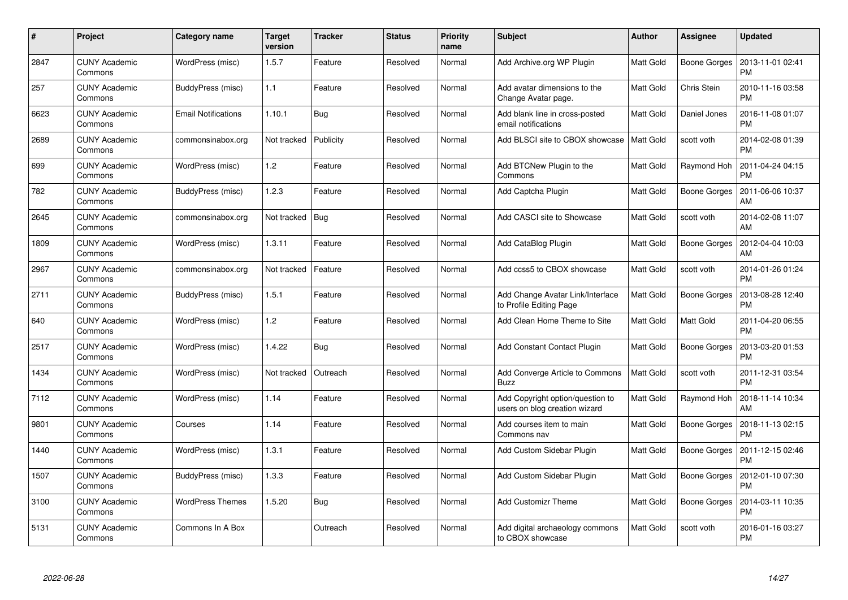| $\pmb{\#}$ | Project                         | Category name              | <b>Target</b><br>version | <b>Tracker</b> | <b>Status</b> | <b>Priority</b><br>name | <b>Subject</b>                                                    | <b>Author</b>    | Assignee            | <b>Updated</b>                |
|------------|---------------------------------|----------------------------|--------------------------|----------------|---------------|-------------------------|-------------------------------------------------------------------|------------------|---------------------|-------------------------------|
| 2847       | <b>CUNY Academic</b><br>Commons | WordPress (misc)           | 1.5.7                    | Feature        | Resolved      | Normal                  | Add Archive.org WP Plugin                                         | <b>Matt Gold</b> | <b>Boone Gorges</b> | 2013-11-01 02:41<br><b>PM</b> |
| 257        | <b>CUNY Academic</b><br>Commons | BuddyPress (misc)          | 1.1                      | Feature        | Resolved      | Normal                  | Add avatar dimensions to the<br>Change Avatar page.               | <b>Matt Gold</b> | Chris Stein         | 2010-11-16 03:58<br><b>PM</b> |
| 6623       | <b>CUNY Academic</b><br>Commons | <b>Email Notifications</b> | 1.10.1                   | <b>Bug</b>     | Resolved      | Normal                  | Add blank line in cross-posted<br>email notifications             | <b>Matt Gold</b> | Daniel Jones        | 2016-11-08 01:07<br><b>PM</b> |
| 2689       | <b>CUNY Academic</b><br>Commons | commonsinabox.org          | Not tracked              | Publicity      | Resolved      | Normal                  | Add BLSCI site to CBOX showcase                                   | <b>Matt Gold</b> | scott voth          | 2014-02-08 01:39<br><b>PM</b> |
| 699        | <b>CUNY Academic</b><br>Commons | WordPress (misc)           | 1.2                      | Feature        | Resolved      | Normal                  | Add BTCNew Plugin to the<br>Commons                               | <b>Matt Gold</b> | Raymond Hoh         | 2011-04-24 04:15<br><b>PM</b> |
| 782        | <b>CUNY Academic</b><br>Commons | BuddyPress (misc)          | 1.2.3                    | Feature        | Resolved      | Normal                  | Add Captcha Plugin                                                | <b>Matt Gold</b> | Boone Gorges        | 2011-06-06 10:37<br>AM        |
| 2645       | <b>CUNY Academic</b><br>Commons | commonsinabox.org          | Not tracked              | Bug            | Resolved      | Normal                  | Add CASCI site to Showcase                                        | Matt Gold        | scott voth          | 2014-02-08 11:07<br>AM        |
| 1809       | <b>CUNY Academic</b><br>Commons | WordPress (misc)           | 1.3.11                   | Feature        | Resolved      | Normal                  | Add CataBlog Plugin                                               | Matt Gold        | Boone Gorges        | 2012-04-04 10:03<br>AM        |
| 2967       | <b>CUNY Academic</b><br>Commons | commonsinabox.org          | Not tracked              | Feature        | Resolved      | Normal                  | Add ccss5 to CBOX showcase                                        | Matt Gold        | scott voth          | 2014-01-26 01:24<br><b>PM</b> |
| 2711       | <b>CUNY Academic</b><br>Commons | BuddyPress (misc)          | 1.5.1                    | Feature        | Resolved      | Normal                  | Add Change Avatar Link/Interface<br>to Profile Editing Page       | <b>Matt Gold</b> | <b>Boone Gorges</b> | 2013-08-28 12:40<br><b>PM</b> |
| 640        | <b>CUNY Academic</b><br>Commons | WordPress (misc)           | 1.2                      | Feature        | Resolved      | Normal                  | Add Clean Home Theme to Site                                      | <b>Matt Gold</b> | Matt Gold           | 2011-04-20 06:55<br><b>PM</b> |
| 2517       | <b>CUNY Academic</b><br>Commons | WordPress (misc)           | 1.4.22                   | <b>Bug</b>     | Resolved      | Normal                  | <b>Add Constant Contact Plugin</b>                                | Matt Gold        | <b>Boone Gorges</b> | 2013-03-20 01:53<br><b>PM</b> |
| 1434       | <b>CUNY Academic</b><br>Commons | WordPress (misc)           | Not tracked              | Outreach       | Resolved      | Normal                  | Add Converge Article to Commons<br><b>Buzz</b>                    | Matt Gold        | scott voth          | 2011-12-31 03:54<br><b>PM</b> |
| 7112       | <b>CUNY Academic</b><br>Commons | WordPress (misc)           | 1.14                     | Feature        | Resolved      | Normal                  | Add Copyright option/question to<br>users on blog creation wizard | Matt Gold        | Raymond Hoh         | 2018-11-14 10:34<br>AM        |
| 9801       | <b>CUNY Academic</b><br>Commons | Courses                    | 1.14                     | Feature        | Resolved      | Normal                  | Add courses item to main<br>Commons nav                           | Matt Gold        | Boone Gorges        | 2018-11-13 02:15<br><b>PM</b> |
| 1440       | <b>CUNY Academic</b><br>Commons | WordPress (misc)           | 1.3.1                    | Feature        | Resolved      | Normal                  | Add Custom Sidebar Plugin                                         | <b>Matt Gold</b> | Boone Gorges        | 2011-12-15 02:46<br><b>PM</b> |
| 1507       | <b>CUNY Academic</b><br>Commons | BuddyPress (misc)          | 1.3.3                    | Feature        | Resolved      | Normal                  | Add Custom Sidebar Plugin                                         | Matt Gold        | Boone Gorges        | 2012-01-10 07:30<br><b>PM</b> |
| 3100       | <b>CUNY Academic</b><br>Commons | <b>WordPress Themes</b>    | 1.5.20                   | Bug            | Resolved      | Normal                  | <b>Add Customizr Theme</b>                                        | Matt Gold        | <b>Boone Gorges</b> | 2014-03-11 10:35<br><b>PM</b> |
| 5131       | CUNY Academic<br>Commons        | Commons In A Box           |                          | Outreach       | Resolved      | Normal                  | Add digital archaeology commons<br>to CBOX showcase               | <b>Matt Gold</b> | scott voth          | 2016-01-16 03:27<br><b>PM</b> |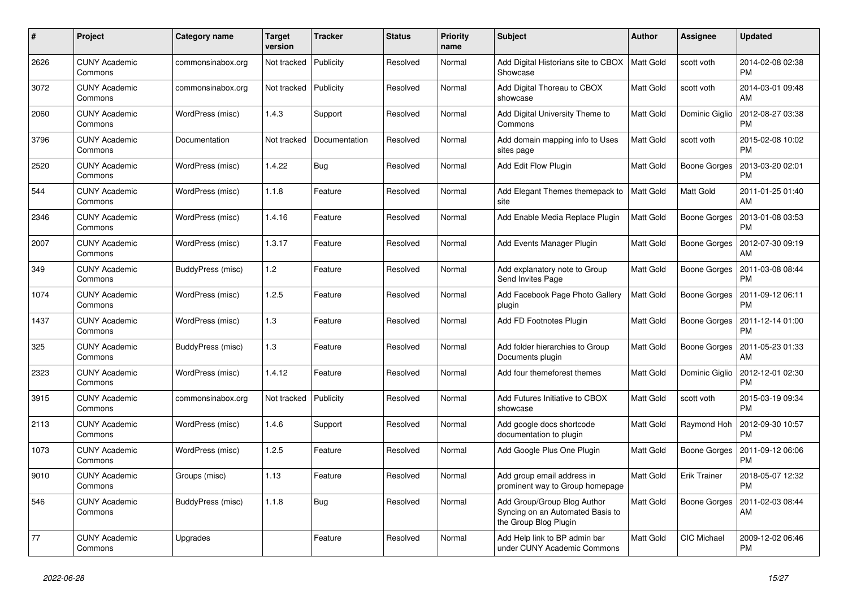| #    | Project                         | Category name     | Target<br>version | <b>Tracker</b> | <b>Status</b> | <b>Priority</b><br>name | <b>Subject</b>                                                                           | <b>Author</b>    | <b>Assignee</b>     | <b>Updated</b>                                 |
|------|---------------------------------|-------------------|-------------------|----------------|---------------|-------------------------|------------------------------------------------------------------------------------------|------------------|---------------------|------------------------------------------------|
| 2626 | <b>CUNY Academic</b><br>Commons | commonsinabox.org | Not tracked       | Publicity      | Resolved      | Normal                  | Add Digital Historians site to CBOX<br>Showcase                                          | <b>Matt Gold</b> | scott voth          | 2014-02-08 02:38<br><b>PM</b>                  |
| 3072 | <b>CUNY Academic</b><br>Commons | commonsinabox.org | Not tracked       | Publicity      | Resolved      | Normal                  | Add Digital Thoreau to CBOX<br>showcase                                                  | <b>Matt Gold</b> | scott voth          | 2014-03-01 09:48<br>AM                         |
| 2060 | <b>CUNY Academic</b><br>Commons | WordPress (misc)  | 1.4.3             | Support        | Resolved      | Normal                  | Add Digital University Theme to<br>Commons                                               | Matt Gold        | Dominic Giglio      | 2012-08-27 03:38<br><b>PM</b>                  |
| 3796 | <b>CUNY Academic</b><br>Commons | Documentation     | Not tracked       | Documentation  | Resolved      | Normal                  | Add domain mapping info to Uses<br>sites page                                            | <b>Matt Gold</b> | scott voth          | 2015-02-08 10:02<br><b>PM</b>                  |
| 2520 | <b>CUNY Academic</b><br>Commons | WordPress (misc)  | 1.4.22            | Bug            | Resolved      | Normal                  | Add Edit Flow Plugin                                                                     | Matt Gold        | Boone Gorges        | 2013-03-20 02:01<br>PM                         |
| 544  | <b>CUNY Academic</b><br>Commons | WordPress (misc)  | 1.1.8             | Feature        | Resolved      | Normal                  | Add Elegant Themes themepack to<br>site                                                  | <b>Matt Gold</b> | Matt Gold           | 2011-01-25 01:40<br>AM                         |
| 2346 | <b>CUNY Academic</b><br>Commons | WordPress (misc)  | 1.4.16            | Feature        | Resolved      | Normal                  | Add Enable Media Replace Plugin                                                          | Matt Gold        | Boone Gorges        | 2013-01-08 03:53<br><b>PM</b>                  |
| 2007 | <b>CUNY Academic</b><br>Commons | WordPress (misc)  | 1.3.17            | Feature        | Resolved      | Normal                  | Add Events Manager Plugin                                                                | Matt Gold        | Boone Gorges        | 2012-07-30 09:19<br>AM                         |
| 349  | <b>CUNY Academic</b><br>Commons | BuddyPress (misc) | 1.2               | Feature        | Resolved      | Normal                  | Add explanatory note to Group<br>Send Invites Page                                       | Matt Gold        | Boone Gorges        | 2011-03-08 08:44<br><b>PM</b>                  |
| 1074 | <b>CUNY Academic</b><br>Commons | WordPress (misc)  | 1.2.5             | Feature        | Resolved      | Normal                  | Add Facebook Page Photo Gallery<br>plugin                                                | Matt Gold        | Boone Gorges        | 2011-09-12 06:11<br><b>PM</b>                  |
| 1437 | <b>CUNY Academic</b><br>Commons | WordPress (misc)  | 1.3               | Feature        | Resolved      | Normal                  | Add FD Footnotes Plugin                                                                  | Matt Gold        | <b>Boone Gorges</b> | 2011-12-14 01:00<br><b>PM</b>                  |
| 325  | <b>CUNY Academic</b><br>Commons | BuddyPress (misc) | 1.3               | Feature        | Resolved      | Normal                  | Add folder hierarchies to Group<br>Documents plugin                                      | Matt Gold        | Boone Gorges        | 2011-05-23 01:33<br>AM                         |
| 2323 | <b>CUNY Academic</b><br>Commons | WordPress (misc)  | 1.4.12            | Feature        | Resolved      | Normal                  | Add four themeforest themes                                                              | Matt Gold        |                     | Dominic Giglio   2012-12-01 02:30<br><b>PM</b> |
| 3915 | <b>CUNY Academic</b><br>Commons | commonsinabox.org | Not tracked       | Publicity      | Resolved      | Normal                  | Add Futures Initiative to CBOX<br>showcase                                               | Matt Gold        | scott voth          | 2015-03-19 09:34<br><b>PM</b>                  |
| 2113 | <b>CUNY Academic</b><br>Commons | WordPress (misc)  | 1.4.6             | Support        | Resolved      | Normal                  | Add google docs shortcode<br>documentation to plugin                                     | Matt Gold        | Raymond Hoh         | 2012-09-30 10:57<br><b>PM</b>                  |
| 1073 | <b>CUNY Academic</b><br>Commons | WordPress (misc)  | 1.2.5             | Feature        | Resolved      | Normal                  | Add Google Plus One Plugin                                                               | Matt Gold        | <b>Boone Gorges</b> | 2011-09-12 06:06<br><b>PM</b>                  |
| 9010 | <b>CUNY Academic</b><br>Commons | Groups (misc)     | 1.13              | Feature        | Resolved      | Normal                  | Add group email address in<br>prominent way to Group homepage                            | Matt Gold        | Erik Trainer        | 2018-05-07 12:32<br><b>PM</b>                  |
| 546  | <b>CUNY Academic</b><br>Commons | BuddyPress (misc) | 1.1.8             | <b>Bug</b>     | Resolved      | Normal                  | Add Group/Group Blog Author<br>Syncing on an Automated Basis to<br>the Group Blog Plugin | Matt Gold        | <b>Boone Gorges</b> | 2011-02-03 08:44<br>AM                         |
| 77   | <b>CUNY Academic</b><br>Commons | Upgrades          |                   | Feature        | Resolved      | Normal                  | Add Help link to BP admin bar<br>under CUNY Academic Commons                             | Matt Gold        | <b>CIC Michael</b>  | 2009-12-02 06:46<br>PM                         |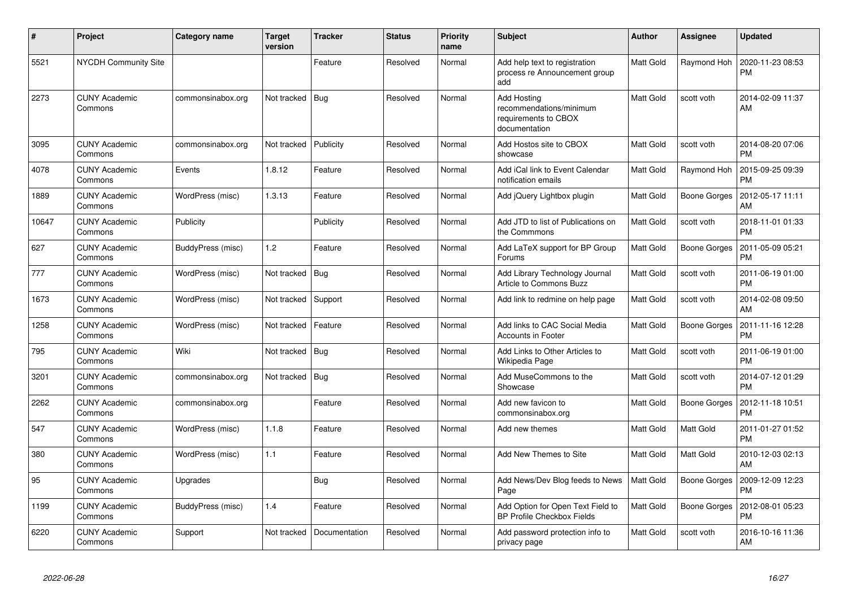| $\pmb{\#}$ | Project                         | Category name     | <b>Target</b><br>version | <b>Tracker</b> | <b>Status</b> | <b>Priority</b><br>name | <b>Subject</b>                                                                  | <b>Author</b>    | Assignee            | <b>Updated</b>                |
|------------|---------------------------------|-------------------|--------------------------|----------------|---------------|-------------------------|---------------------------------------------------------------------------------|------------------|---------------------|-------------------------------|
| 5521       | <b>NYCDH Community Site</b>     |                   |                          | Feature        | Resolved      | Normal                  | Add help text to registration<br>process re Announcement group<br>add           | <b>Matt Gold</b> | <b>Raymond Hoh</b>  | 2020-11-23 08:53<br><b>PM</b> |
| 2273       | <b>CUNY Academic</b><br>Commons | commonsinabox.org | Not tracked              | Bug            | Resolved      | Normal                  | Add Hosting<br>recommendations/minimum<br>requirements to CBOX<br>documentation | Matt Gold        | scott voth          | 2014-02-09 11:37<br>AM        |
| 3095       | <b>CUNY Academic</b><br>Commons | commonsinabox.org | Not tracked              | Publicity      | Resolved      | Normal                  | Add Hostos site to CBOX<br>showcase                                             | <b>Matt Gold</b> | scott voth          | 2014-08-20 07:06<br><b>PM</b> |
| 4078       | <b>CUNY Academic</b><br>Commons | Events            | 1.8.12                   | Feature        | Resolved      | Normal                  | Add iCal link to Event Calendar<br>notification emails                          | <b>Matt Gold</b> | Raymond Hoh         | 2015-09-25 09:39<br><b>PM</b> |
| 1889       | <b>CUNY Academic</b><br>Commons | WordPress (misc)  | 1.3.13                   | Feature        | Resolved      | Normal                  | Add jQuery Lightbox plugin                                                      | Matt Gold        | Boone Gorges        | 2012-05-17 11:11<br>AM        |
| 10647      | <b>CUNY Academic</b><br>Commons | Publicity         |                          | Publicity      | Resolved      | Normal                  | Add JTD to list of Publications on<br>the Commmons                              | Matt Gold        | scott voth          | 2018-11-01 01:33<br><b>PM</b> |
| 627        | <b>CUNY Academic</b><br>Commons | BuddyPress (misc) | 1.2                      | Feature        | Resolved      | Normal                  | Add LaTeX support for BP Group<br>Forums                                        | <b>Matt Gold</b> | <b>Boone Gorges</b> | 2011-05-09 05:21<br><b>PM</b> |
| 777        | <b>CUNY Academic</b><br>Commons | WordPress (misc)  | Not tracked              | Bug            | Resolved      | Normal                  | Add Library Technology Journal<br><b>Article to Commons Buzz</b>                | <b>Matt Gold</b> | scott voth          | 2011-06-19 01:00<br><b>PM</b> |
| 1673       | <b>CUNY Academic</b><br>Commons | WordPress (misc)  | Not tracked              | Support        | Resolved      | Normal                  | Add link to redmine on help page                                                | <b>Matt Gold</b> | scott voth          | 2014-02-08 09:50<br>AM        |
| 1258       | <b>CUNY Academic</b><br>Commons | WordPress (misc)  | Not tracked              | Feature        | Resolved      | Normal                  | Add links to CAC Social Media<br><b>Accounts in Footer</b>                      | Matt Gold        | <b>Boone Gorges</b> | 2011-11-16 12:28<br><b>PM</b> |
| 795        | <b>CUNY Academic</b><br>Commons | Wiki              | Not tracked              | <b>Bug</b>     | Resolved      | Normal                  | Add Links to Other Articles to<br>Wikipedia Page                                | Matt Gold        | scott voth          | 2011-06-19 01:00<br><b>PM</b> |
| 3201       | <b>CUNY Academic</b><br>Commons | commonsinabox.org | Not tracked              | Bug            | Resolved      | Normal                  | Add MuseCommons to the<br>Showcase                                              | Matt Gold        | scott voth          | 2014-07-12 01:29<br><b>PM</b> |
| 2262       | <b>CUNY Academic</b><br>Commons | commonsinabox.org |                          | Feature        | Resolved      | Normal                  | Add new favicon to<br>commonsinabox.org                                         | Matt Gold        | Boone Gorges        | 2012-11-18 10:51<br><b>PM</b> |
| 547        | <b>CUNY Academic</b><br>Commons | WordPress (misc)  | 1.1.8                    | Feature        | Resolved      | Normal                  | Add new themes                                                                  | Matt Gold        | Matt Gold           | 2011-01-27 01:52<br><b>PM</b> |
| 380        | <b>CUNY Academic</b><br>Commons | WordPress (misc)  | 1.1                      | Feature        | Resolved      | Normal                  | Add New Themes to Site                                                          | Matt Gold        | Matt Gold           | 2010-12-03 02:13<br>AM        |
| 95         | <b>CUNY Academic</b><br>Commons | Upgrades          |                          | <b>Bug</b>     | Resolved      | Normal                  | Add News/Dev Blog feeds to News<br>Page                                         | Matt Gold        | Boone Gorges        | 2009-12-09 12:23<br><b>PM</b> |
| 1199       | <b>CUNY Academic</b><br>Commons | BuddyPress (misc) | 1.4                      | Feature        | Resolved      | Normal                  | Add Option for Open Text Field to<br>BP Profile Checkbox Fields                 | Matt Gold        | <b>Boone Gorges</b> | 2012-08-01 05:23<br><b>PM</b> |
| 6220       | <b>CUNY Academic</b><br>Commons | Support           | Not tracked              | Documentation  | Resolved      | Normal                  | Add password protection info to<br>privacy page                                 | <b>Matt Gold</b> | scott voth          | 2016-10-16 11:36<br>AM        |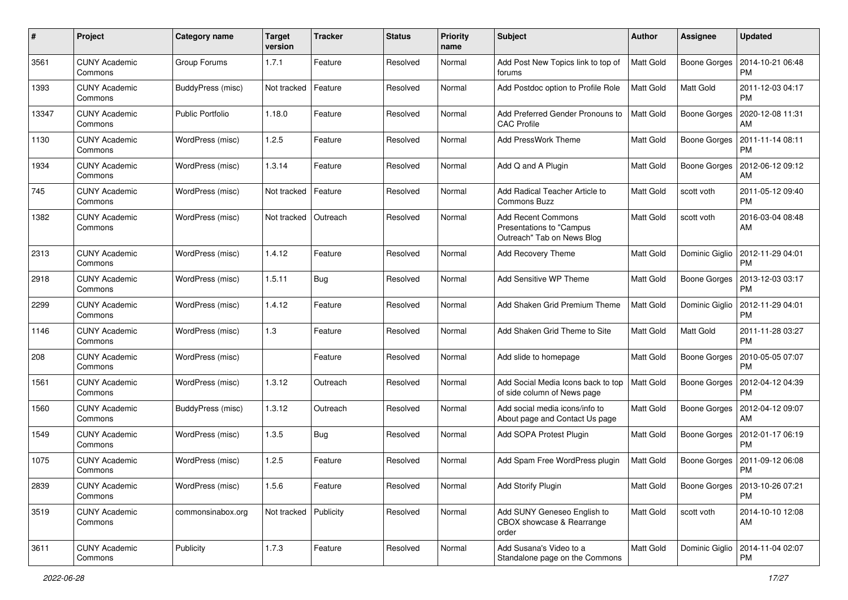| #     | Project                         | <b>Category name</b> | <b>Target</b><br>version | <b>Tracker</b> | <b>Status</b> | <b>Priority</b><br>name | <b>Subject</b>                                                                       | <b>Author</b>    | <b>Assignee</b>     | <b>Updated</b>                               |
|-------|---------------------------------|----------------------|--------------------------|----------------|---------------|-------------------------|--------------------------------------------------------------------------------------|------------------|---------------------|----------------------------------------------|
| 3561  | <b>CUNY Academic</b><br>Commons | Group Forums         | 1.7.1                    | Feature        | Resolved      | Normal                  | Add Post New Topics link to top of<br>forums                                         | <b>Matt Gold</b> | <b>Boone Gorges</b> | 2014-10-21 06:48<br><b>PM</b>                |
| 1393  | <b>CUNY Academic</b><br>Commons | BuddyPress (misc)    | Not tracked              | Feature        | Resolved      | Normal                  | Add Postdoc option to Profile Role                                                   | <b>Matt Gold</b> | Matt Gold           | 2011-12-03 04:17<br><b>PM</b>                |
| 13347 | CUNY Academic<br>Commons        | Public Portfolio     | 1.18.0                   | Feature        | Resolved      | Normal                  | Add Preferred Gender Pronouns to<br><b>CAC Profile</b>                               | <b>Matt Gold</b> | <b>Boone Gorges</b> | 2020-12-08 11:31<br>AM                       |
| 1130  | <b>CUNY Academic</b><br>Commons | WordPress (misc)     | 1.2.5                    | Feature        | Resolved      | Normal                  | Add PressWork Theme                                                                  | Matt Gold        | <b>Boone Gorges</b> | 2011-11-14 08:11<br><b>PM</b>                |
| 1934  | <b>CUNY Academic</b><br>Commons | WordPress (misc)     | 1.3.14                   | Feature        | Resolved      | Normal                  | Add Q and A Plugin                                                                   | Matt Gold        | <b>Boone Gorges</b> | 2012-06-12 09:12<br>AM                       |
| 745   | <b>CUNY Academic</b><br>Commons | WordPress (misc)     | Not tracked              | Feature        | Resolved      | Normal                  | Add Radical Teacher Article to<br>Commons Buzz                                       | Matt Gold        | scott voth          | 2011-05-12 09:40<br><b>PM</b>                |
| 1382  | <b>CUNY Academic</b><br>Commons | WordPress (misc)     | Not tracked              | Outreach       | Resolved      | Normal                  | <b>Add Recent Commons</b><br>Presentations to "Campus"<br>Outreach" Tab on News Blog | Matt Gold        | scott voth          | 2016-03-04 08:48<br>AM                       |
| 2313  | CUNY Academic<br>Commons        | WordPress (misc)     | 1.4.12                   | Feature        | Resolved      | Normal                  | <b>Add Recovery Theme</b>                                                            | Matt Gold        | Dominic Giglio      | 2012-11-29 04:01<br><b>PM</b>                |
| 2918  | <b>CUNY Academic</b><br>Commons | WordPress (misc)     | 1.5.11                   | Bug            | Resolved      | Normal                  | Add Sensitive WP Theme                                                               | Matt Gold        | <b>Boone Gorges</b> | 2013-12-03 03:17<br><b>PM</b>                |
| 2299  | <b>CUNY Academic</b><br>Commons | WordPress (misc)     | 1.4.12                   | Feature        | Resolved      | Normal                  | Add Shaken Grid Premium Theme                                                        | Matt Gold        | Dominic Giglio      | 2012-11-29 04:01<br><b>PM</b>                |
| 1146  | <b>CUNY Academic</b><br>Commons | WordPress (misc)     | 1.3                      | Feature        | Resolved      | Normal                  | Add Shaken Grid Theme to Site                                                        | Matt Gold        | Matt Gold           | 2011-11-28 03:27<br><b>PM</b>                |
| 208   | <b>CUNY Academic</b><br>Commons | WordPress (misc)     |                          | Feature        | Resolved      | Normal                  | Add slide to homepage                                                                | Matt Gold        | <b>Boone Gorges</b> | 2010-05-05 07:07<br><b>PM</b>                |
| 1561  | <b>CUNY Academic</b><br>Commons | WordPress (misc)     | 1.3.12                   | Outreach       | Resolved      | Normal                  | Add Social Media Icons back to top<br>of side column of News page                    | <b>Matt Gold</b> | <b>Boone Gorges</b> | 2012-04-12 04:39<br><b>PM</b>                |
| 1560  | <b>CUNY Academic</b><br>Commons | BuddyPress (misc)    | 1.3.12                   | Outreach       | Resolved      | Normal                  | Add social media icons/info to<br>About page and Contact Us page                     | Matt Gold        | <b>Boone Gorges</b> | 2012-04-12 09:07<br><b>AM</b>                |
| 1549  | CUNY Academic<br>Commons        | WordPress (misc)     | 1.3.5                    | Bug            | Resolved      | Normal                  | Add SOPA Protest Plugin                                                              | <b>Matt Gold</b> | Boone Gorges        | 2012-01-17 06:19<br><b>PM</b>                |
| 1075  | <b>CUNY Academic</b><br>Commons | WordPress (misc)     | 1.2.5                    | Feature        | Resolved      | Normal                  | Add Spam Free WordPress plugin                                                       | <b>Matt Gold</b> | <b>Boone Gorges</b> | 2011-09-12 06:08<br><b>PM</b>                |
| 2839  | <b>CUNY Academic</b><br>Commons | WordPress (misc)     | 1.5.6                    | Feature        | Resolved      | Normal                  | Add Storify Plugin                                                                   | Matt Gold        |                     | Boone Gorges   2013-10-26 07:21<br><b>PM</b> |
| 3519  | <b>CUNY Academic</b><br>Commons | commonsinabox.org    | Not tracked              | Publicity      | Resolved      | Normal                  | Add SUNY Geneseo English to<br>CBOX showcase & Rearrange<br>order                    | Matt Gold        | scott voth          | 2014-10-10 12:08<br>AM                       |
| 3611  | <b>CUNY Academic</b><br>Commons | Publicity            | 1.7.3                    | Feature        | Resolved      | Normal                  | Add Susana's Video to a<br>Standalone page on the Commons                            | Matt Gold        |                     | Dominic Giglio   2014-11-04 02:07<br>PM      |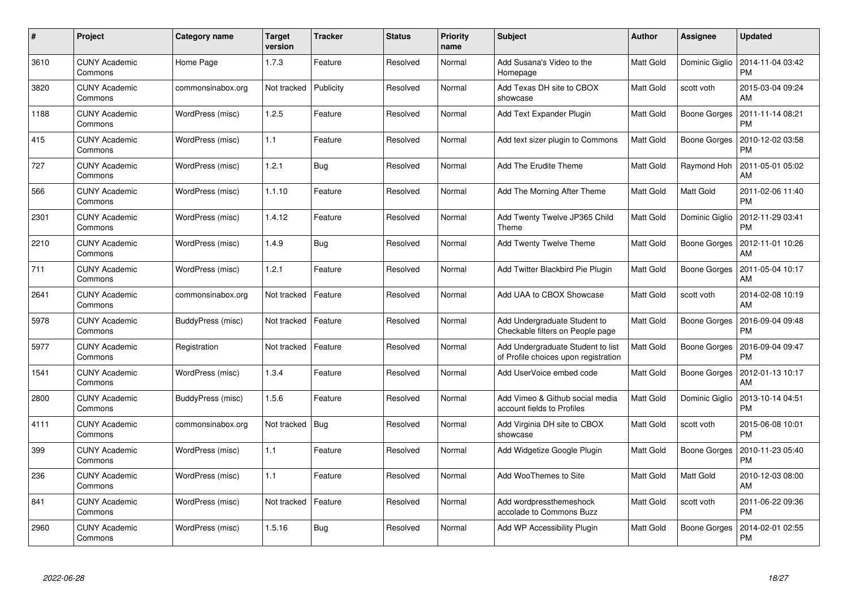| #    | Project                         | Category name     | Target<br>version | <b>Tracker</b> | <b>Status</b> | <b>Priority</b><br>name | <b>Subject</b>                                                            | <b>Author</b>    | <b>Assignee</b>     | <b>Updated</b>                |
|------|---------------------------------|-------------------|-------------------|----------------|---------------|-------------------------|---------------------------------------------------------------------------|------------------|---------------------|-------------------------------|
| 3610 | <b>CUNY Academic</b><br>Commons | Home Page         | 1.7.3             | Feature        | Resolved      | Normal                  | Add Susana's Video to the<br>Homepage                                     | <b>Matt Gold</b> | Dominic Giglio      | 2014-11-04 03:42<br><b>PM</b> |
| 3820 | <b>CUNY Academic</b><br>Commons | commonsinabox.org | Not tracked       | Publicity      | Resolved      | Normal                  | Add Texas DH site to CBOX<br>showcase                                     | Matt Gold        | scott voth          | 2015-03-04 09:24<br>AM        |
| 1188 | <b>CUNY Academic</b><br>Commons | WordPress (misc)  | 1.2.5             | Feature        | Resolved      | Normal                  | Add Text Expander Plugin                                                  | Matt Gold        | <b>Boone Gorges</b> | 2011-11-14 08:21<br><b>PM</b> |
| 415  | <b>CUNY Academic</b><br>Commons | WordPress (misc)  | 1.1               | Feature        | Resolved      | Normal                  | Add text sizer plugin to Commons                                          | Matt Gold        | Boone Gorges        | 2010-12-02 03:58<br><b>PM</b> |
| 727  | <b>CUNY Academic</b><br>Commons | WordPress (misc)  | 1.2.1             | <b>Bug</b>     | Resolved      | Normal                  | Add The Erudite Theme                                                     | <b>Matt Gold</b> | Raymond Hoh         | 2011-05-01 05:02<br>AM        |
| 566  | <b>CUNY Academic</b><br>Commons | WordPress (misc)  | 1.1.10            | Feature        | Resolved      | Normal                  | Add The Morning After Theme                                               | Matt Gold        | Matt Gold           | 2011-02-06 11:40<br><b>PM</b> |
| 2301 | <b>CUNY Academic</b><br>Commons | WordPress (misc)  | 1.4.12            | Feature        | Resolved      | Normal                  | Add Twenty Twelve JP365 Child<br>Theme                                    | Matt Gold        | Dominic Giglio      | 2012-11-29 03:41<br><b>PM</b> |
| 2210 | <b>CUNY Academic</b><br>Commons | WordPress (misc)  | 1.4.9             | Bug            | Resolved      | Normal                  | <b>Add Twenty Twelve Theme</b>                                            | Matt Gold        | Boone Gorges        | 2012-11-01 10:26<br>AM        |
| 711  | <b>CUNY Academic</b><br>Commons | WordPress (misc)  | 1.2.1             | Feature        | Resolved      | Normal                  | Add Twitter Blackbird Pie Plugin                                          | Matt Gold        | Boone Gorges        | 2011-05-04 10:17<br>AM        |
| 2641 | <b>CUNY Academic</b><br>Commons | commonsinabox.org | Not tracked       | Feature        | Resolved      | Normal                  | Add UAA to CBOX Showcase                                                  | <b>Matt Gold</b> | scott voth          | 2014-02-08 10:19<br>AM        |
| 5978 | <b>CUNY Academic</b><br>Commons | BuddyPress (misc) | Not tracked       | Feature        | Resolved      | Normal                  | Add Undergraduate Student to<br>Checkable filters on People page          | Matt Gold        | Boone Gorges        | 2016-09-04 09:48<br><b>PM</b> |
| 5977 | <b>CUNY Academic</b><br>Commons | Registration      | Not tracked       | Feature        | Resolved      | Normal                  | Add Undergraduate Student to list<br>of Profile choices upon registration | Matt Gold        | Boone Gorges        | 2016-09-04 09:47<br><b>PM</b> |
| 1541 | <b>CUNY Academic</b><br>Commons | WordPress (misc)  | 1.3.4             | Feature        | Resolved      | Normal                  | Add UserVoice embed code                                                  | Matt Gold        | Boone Gorges        | 2012-01-13 10:17<br>AM        |
| 2800 | <b>CUNY Academic</b><br>Commons | BuddyPress (misc) | 1.5.6             | Feature        | Resolved      | Normal                  | Add Vimeo & Github social media<br>account fields to Profiles             | Matt Gold        | Dominic Giglio      | 2013-10-14 04:51<br><b>PM</b> |
| 4111 | <b>CUNY Academic</b><br>Commons | commonsinabox.org | Not tracked       | Bug            | Resolved      | Normal                  | Add Virginia DH site to CBOX<br>showcase                                  | Matt Gold        | scott voth          | 2015-06-08 10:01<br><b>PM</b> |
| 399  | <b>CUNY Academic</b><br>Commons | WordPress (misc)  | 1.1               | Feature        | Resolved      | Normal                  | Add Widgetize Google Plugin                                               | Matt Gold        | Boone Gorges        | 2010-11-23 05:40<br><b>PM</b> |
| 236  | <b>CUNY Academic</b><br>Commons | WordPress (misc)  | $1.1$             | Feature        | Resolved      | Normal                  | Add WooThemes to Site                                                     | Matt Gold        | Matt Gold           | 2010-12-03 08:00<br>AM        |
| 841  | <b>CUNY Academic</b><br>Commons | WordPress (misc)  | Not tracked       | Feature        | Resolved      | Normal                  | Add wordpressthemeshock<br>accolade to Commons Buzz                       | Matt Gold        | scott voth          | 2011-06-22 09:36<br><b>PM</b> |
| 2960 | CUNY Academic<br>Commons        | WordPress (misc)  | 1.5.16            | Bug            | Resolved      | Normal                  | Add WP Accessibility Plugin                                               | Matt Gold        | Boone Gorges        | 2014-02-01 02:55<br><b>PM</b> |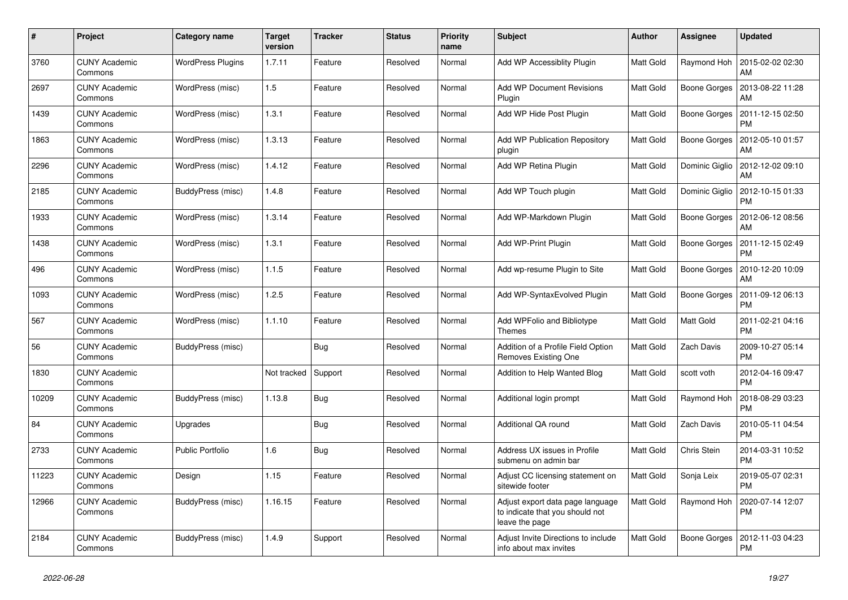| $\#$  | Project                         | Category name            | <b>Target</b><br>version | <b>Tracker</b> | <b>Status</b> | <b>Priority</b><br>name | <b>Subject</b>                                                                        | <b>Author</b>    | Assignee            | <b>Updated</b>                |
|-------|---------------------------------|--------------------------|--------------------------|----------------|---------------|-------------------------|---------------------------------------------------------------------------------------|------------------|---------------------|-------------------------------|
| 3760  | <b>CUNY Academic</b><br>Commons | <b>WordPress Plugins</b> | 1.7.11                   | Feature        | Resolved      | Normal                  | Add WP Accessiblity Plugin                                                            | <b>Matt Gold</b> | Raymond Hoh         | 2015-02-02 02:30<br>AM        |
| 2697  | <b>CUNY Academic</b><br>Commons | WordPress (misc)         | 1.5                      | Feature        | Resolved      | Normal                  | <b>Add WP Document Revisions</b><br>Plugin                                            | Matt Gold        | <b>Boone Gorges</b> | 2013-08-22 11:28<br>AM        |
| 1439  | CUNY Academic<br>Commons        | WordPress (misc)         | 1.3.1                    | Feature        | Resolved      | Normal                  | Add WP Hide Post Plugin                                                               | Matt Gold        | Boone Gorges        | 2011-12-15 02:50<br><b>PM</b> |
| 1863  | <b>CUNY Academic</b><br>Commons | WordPress (misc)         | 1.3.13                   | Feature        | Resolved      | Normal                  | Add WP Publication Repository<br>plugin                                               | <b>Matt Gold</b> | <b>Boone Gorges</b> | 2012-05-10 01:57<br>AM        |
| 2296  | <b>CUNY Academic</b><br>Commons | WordPress (misc)         | 1.4.12                   | Feature        | Resolved      | Normal                  | Add WP Retina Plugin                                                                  | Matt Gold        | Dominic Giglio      | 2012-12-02 09:10<br>AM        |
| 2185  | <b>CUNY Academic</b><br>Commons | BuddyPress (misc)        | 1.4.8                    | Feature        | Resolved      | Normal                  | Add WP Touch plugin                                                                   | Matt Gold        | Dominic Giglio      | 2012-10-15 01:33<br><b>PM</b> |
| 1933  | <b>CUNY Academic</b><br>Commons | WordPress (misc)         | 1.3.14                   | Feature        | Resolved      | Normal                  | Add WP-Markdown Plugin                                                                | <b>Matt Gold</b> | <b>Boone Gorges</b> | 2012-06-12 08:56<br>AM        |
| 1438  | <b>CUNY Academic</b><br>Commons | WordPress (misc)         | 1.3.1                    | Feature        | Resolved      | Normal                  | Add WP-Print Plugin                                                                   | Matt Gold        | Boone Gorges        | 2011-12-15 02:49<br><b>PM</b> |
| 496   | <b>CUNY Academic</b><br>Commons | WordPress (misc)         | 1.1.5                    | Feature        | Resolved      | Normal                  | Add wp-resume Plugin to Site                                                          | Matt Gold        | <b>Boone Gorges</b> | 2010-12-20 10:09<br>AM        |
| 1093  | <b>CUNY Academic</b><br>Commons | WordPress (misc)         | 1.2.5                    | Feature        | Resolved      | Normal                  | Add WP-SyntaxEvolved Plugin                                                           | Matt Gold        | Boone Gorges        | 2011-09-12 06:13<br><b>PM</b> |
| 567   | <b>CUNY Academic</b><br>Commons | WordPress (misc)         | 1.1.10                   | Feature        | Resolved      | Normal                  | Add WPFolio and Bibliotype<br>Themes                                                  | Matt Gold        | Matt Gold           | 2011-02-21 04:16<br><b>PM</b> |
| 56    | <b>CUNY Academic</b><br>Commons | BuddyPress (misc)        |                          | Bug            | Resolved      | Normal                  | Addition of a Profile Field Option<br>Removes Existing One                            | <b>Matt Gold</b> | Zach Davis          | 2009-10-27 05:14<br><b>PM</b> |
| 1830  | <b>CUNY Academic</b><br>Commons |                          | Not tracked              | Support        | Resolved      | Normal                  | Addition to Help Wanted Blog                                                          | <b>Matt Gold</b> | scott voth          | 2012-04-16 09:47<br><b>PM</b> |
| 10209 | <b>CUNY Academic</b><br>Commons | BuddyPress (misc)        | 1.13.8                   | <b>Bug</b>     | Resolved      | Normal                  | Additional login prompt                                                               | Matt Gold        | Raymond Hoh         | 2018-08-29 03:23<br><b>PM</b> |
| 84    | <b>CUNY Academic</b><br>Commons | Upgrades                 |                          | Bug            | Resolved      | Normal                  | Additional QA round                                                                   | Matt Gold        | Zach Davis          | 2010-05-11 04:54<br><b>PM</b> |
| 2733  | <b>CUNY Academic</b><br>Commons | <b>Public Portfolio</b>  | 1.6                      | <b>Bug</b>     | Resolved      | Normal                  | Address UX issues in Profile<br>submenu on admin bar                                  | Matt Gold        | Chris Stein         | 2014-03-31 10:52<br><b>PM</b> |
| 11223 | <b>CUNY Academic</b><br>Commons | Design                   | 1.15                     | Feature        | Resolved      | Normal                  | Adjust CC licensing statement on<br>sitewide footer                                   | Matt Gold        | Sonja Leix          | 2019-05-07 02:31<br><b>PM</b> |
| 12966 | <b>CUNY Academic</b><br>Commons | BuddyPress (misc)        | 1.16.15                  | Feature        | Resolved      | Normal                  | Adjust export data page language<br>to indicate that you should not<br>leave the page | <b>Matt Gold</b> | Raymond Hoh         | 2020-07-14 12:07<br><b>PM</b> |
| 2184  | <b>CUNY Academic</b><br>Commons | BuddyPress (misc)        | 1.4.9                    | Support        | Resolved      | Normal                  | Adjust Invite Directions to include<br>info about max invites                         | Matt Gold        | <b>Boone Gorges</b> | 2012-11-03 04:23<br><b>PM</b> |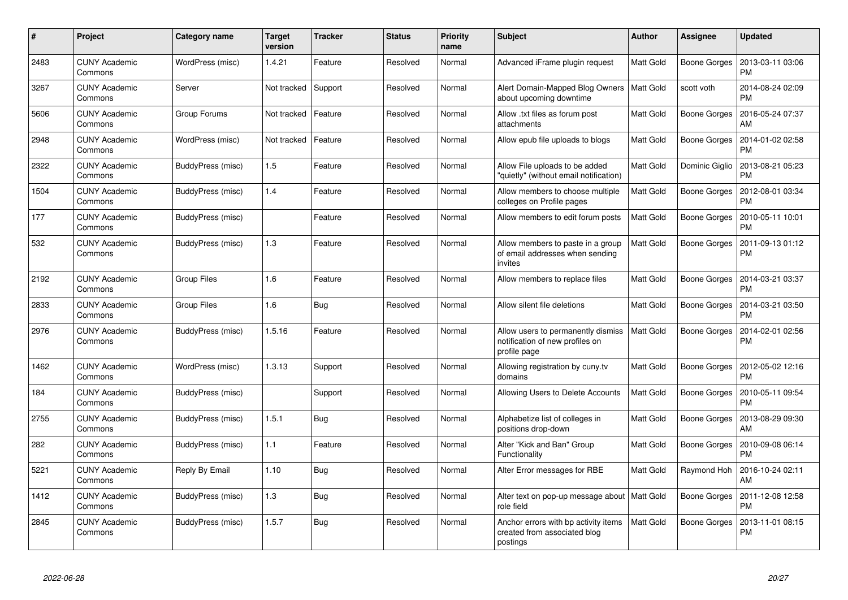| #    | Project                         | Category name     | Target<br>version | <b>Tracker</b> | <b>Status</b> | <b>Priority</b><br>name | <b>Subject</b>                                                                        | <b>Author</b>    | Assignee            | <b>Updated</b>                |
|------|---------------------------------|-------------------|-------------------|----------------|---------------|-------------------------|---------------------------------------------------------------------------------------|------------------|---------------------|-------------------------------|
| 2483 | <b>CUNY Academic</b><br>Commons | WordPress (misc)  | 1.4.21            | Feature        | Resolved      | Normal                  | Advanced iFrame plugin request                                                        | Matt Gold        | Boone Gorges        | 2013-03-11 03:06<br><b>PM</b> |
| 3267 | <b>CUNY Academic</b><br>Commons | Server            | Not tracked       | Support        | Resolved      | Normal                  | Alert Domain-Mapped Blog Owners<br>about upcoming downtime                            | Matt Gold        | scott voth          | 2014-08-24 02:09<br><b>PM</b> |
| 5606 | <b>CUNY Academic</b><br>Commons | Group Forums      | Not tracked       | Feature        | Resolved      | Normal                  | Allow .txt files as forum post<br>attachments                                         | Matt Gold        | <b>Boone Gorges</b> | 2016-05-24 07:37<br>AM        |
| 2948 | <b>CUNY Academic</b><br>Commons | WordPress (misc)  | Not tracked       | Feature        | Resolved      | Normal                  | Allow epub file uploads to blogs                                                      | Matt Gold        | Boone Gorges        | 2014-01-02 02:58<br><b>PM</b> |
| 2322 | <b>CUNY Academic</b><br>Commons | BuddyPress (misc) | 1.5               | Feature        | Resolved      | Normal                  | Allow File uploads to be added<br>"quietly" (without email notification)              | Matt Gold        | Dominic Giglio      | 2013-08-21 05:23<br><b>PM</b> |
| 1504 | <b>CUNY Academic</b><br>Commons | BuddyPress (misc) | 1.4               | Feature        | Resolved      | Normal                  | Allow members to choose multiple<br>colleges on Profile pages                         | Matt Gold        | Boone Gorges        | 2012-08-01 03:34<br><b>PM</b> |
| 177  | <b>CUNY Academic</b><br>Commons | BuddyPress (misc) |                   | Feature        | Resolved      | Normal                  | Allow members to edit forum posts                                                     | Matt Gold        | Boone Gorges        | 2010-05-11 10:01<br><b>PM</b> |
| 532  | <b>CUNY Academic</b><br>Commons | BuddyPress (misc) | 1.3               | Feature        | Resolved      | Normal                  | Allow members to paste in a group<br>of email addresses when sending<br>invites       | Matt Gold        | Boone Gorges        | 2011-09-13 01:12<br><b>PM</b> |
| 2192 | <b>CUNY Academic</b><br>Commons | Group Files       | 1.6               | Feature        | Resolved      | Normal                  | Allow members to replace files                                                        | <b>Matt Gold</b> | Boone Gorges        | 2014-03-21 03:37<br><b>PM</b> |
| 2833 | <b>CUNY Academic</b><br>Commons | Group Files       | 1.6               | <b>Bug</b>     | Resolved      | Normal                  | Allow silent file deletions                                                           | Matt Gold        | Boone Gorges        | 2014-03-21 03:50<br><b>PM</b> |
| 2976 | <b>CUNY Academic</b><br>Commons | BuddyPress (misc) | 1.5.16            | Feature        | Resolved      | Normal                  | Allow users to permanently dismiss<br>notification of new profiles on<br>profile page | Matt Gold        | Boone Gorges        | 2014-02-01 02:56<br><b>PM</b> |
| 1462 | <b>CUNY Academic</b><br>Commons | WordPress (misc)  | 1.3.13            | Support        | Resolved      | Normal                  | Allowing registration by cuny.tv<br>domains                                           | Matt Gold        | Boone Gorges        | 2012-05-02 12:16<br><b>PM</b> |
| 184  | <b>CUNY Academic</b><br>Commons | BuddyPress (misc) |                   | Support        | Resolved      | Normal                  | Allowing Users to Delete Accounts                                                     | Matt Gold        | <b>Boone Gorges</b> | 2010-05-11 09:54<br><b>PM</b> |
| 2755 | <b>CUNY Academic</b><br>Commons | BuddyPress (misc) | 1.5.1             | <b>Bug</b>     | Resolved      | Normal                  | Alphabetize list of colleges in<br>positions drop-down                                | Matt Gold        | Boone Gorges        | 2013-08-29 09:30<br>AM        |
| 282  | <b>CUNY Academic</b><br>Commons | BuddyPress (misc) | 1.1               | Feature        | Resolved      | Normal                  | Alter "Kick and Ban" Group<br>Functionality                                           | Matt Gold        | Boone Gorges        | 2010-09-08 06:14<br><b>PM</b> |
| 5221 | <b>CUNY Academic</b><br>Commons | Reply By Email    | 1.10              | Bug            | Resolved      | Normal                  | Alter Error messages for RBE                                                          | Matt Gold        | Raymond Hoh         | 2016-10-24 02:11<br>AM        |
| 1412 | <b>CUNY Academic</b><br>Commons | BuddyPress (misc) | 1.3               | Bug            | Resolved      | Normal                  | Alter text on pop-up message about<br>role field                                      | Matt Gold        | Boone Gorges        | 2011-12-08 12:58<br><b>PM</b> |
| 2845 | <b>CUNY Academic</b><br>Commons | BuddyPress (misc) | 1.5.7             | Bug            | Resolved      | Normal                  | Anchor errors with bp activity items<br>created from associated blog<br>postings      | Matt Gold        | Boone Gorges        | 2013-11-01 08:15<br><b>PM</b> |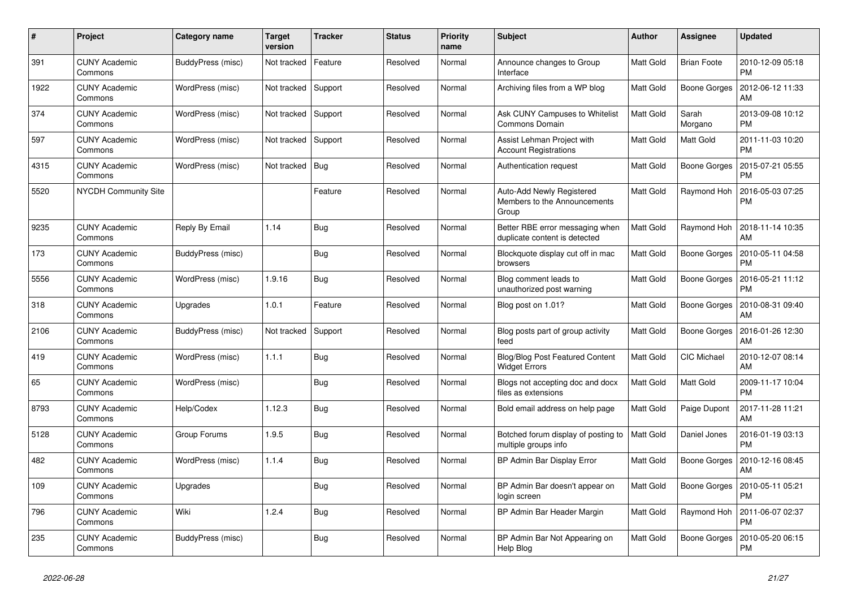| $\#$ | Project                         | Category name     | <b>Target</b><br>version | <b>Tracker</b> | <b>Status</b> | <b>Priority</b><br>name | <b>Subject</b>                                                     | <b>Author</b>    | Assignee            | <b>Updated</b>                |
|------|---------------------------------|-------------------|--------------------------|----------------|---------------|-------------------------|--------------------------------------------------------------------|------------------|---------------------|-------------------------------|
| 391  | <b>CUNY Academic</b><br>Commons | BuddyPress (misc) | Not tracked              | Feature        | Resolved      | Normal                  | Announce changes to Group<br>Interface                             | <b>Matt Gold</b> | <b>Brian Foote</b>  | 2010-12-09 05:18<br><b>PM</b> |
| 1922 | <b>CUNY Academic</b><br>Commons | WordPress (misc)  | Not tracked              | Support        | Resolved      | Normal                  | Archiving files from a WP blog                                     | Matt Gold        | <b>Boone Gorges</b> | 2012-06-12 11:33<br>AM        |
| 374  | CUNY Academic<br>Commons        | WordPress (misc)  | Not tracked              | Support        | Resolved      | Normal                  | Ask CUNY Campuses to Whitelist<br>Commons Domain                   | <b>Matt Gold</b> | Sarah<br>Morgano    | 2013-09-08 10:12<br><b>PM</b> |
| 597  | <b>CUNY Academic</b><br>Commons | WordPress (misc)  | Not tracked              | Support        | Resolved      | Normal                  | Assist Lehman Project with<br><b>Account Registrations</b>         | Matt Gold        | <b>Matt Gold</b>    | 2011-11-03 10:20<br><b>PM</b> |
| 4315 | <b>CUNY Academic</b><br>Commons | WordPress (misc)  | Not tracked              | Bug            | Resolved      | Normal                  | Authentication request                                             | Matt Gold        | <b>Boone Gorges</b> | 2015-07-21 05:55<br><b>PM</b> |
| 5520 | NYCDH Community Site            |                   |                          | Feature        | Resolved      | Normal                  | Auto-Add Newly Registered<br>Members to the Announcements<br>Group | <b>Matt Gold</b> | Raymond Hoh         | 2016-05-03 07:25<br><b>PM</b> |
| 9235 | <b>CUNY Academic</b><br>Commons | Reply By Email    | 1.14                     | <b>Bug</b>     | Resolved      | Normal                  | Better RBE error messaging when<br>duplicate content is detected   | Matt Gold        | Raymond Hoh         | 2018-11-14 10:35<br>AM        |
| 173  | <b>CUNY Academic</b><br>Commons | BuddyPress (misc) |                          | Bug            | Resolved      | Normal                  | Blockquote display cut off in mac<br>browsers                      | Matt Gold        | Boone Gorges        | 2010-05-11 04:58<br><b>PM</b> |
| 5556 | <b>CUNY Academic</b><br>Commons | WordPress (misc)  | 1.9.16                   | <b>Bug</b>     | Resolved      | Normal                  | Blog comment leads to<br>unauthorized post warning                 | Matt Gold        | Boone Gorges        | 2016-05-21 11:12<br><b>PM</b> |
| 318  | <b>CUNY Academic</b><br>Commons | Upgrades          | 1.0.1                    | Feature        | Resolved      | Normal                  | Blog post on 1.01?                                                 | Matt Gold        | <b>Boone Gorges</b> | 2010-08-31 09:40<br>AM        |
| 2106 | <b>CUNY Academic</b><br>Commons | BuddyPress (misc) | Not tracked              | Support        | Resolved      | Normal                  | Blog posts part of group activity<br>feed                          | <b>Matt Gold</b> | Boone Gorges        | 2016-01-26 12:30<br>AM        |
| 419  | <b>CUNY Academic</b><br>Commons | WordPress (misc)  | 1.1.1                    | <b>Bug</b>     | Resolved      | Normal                  | <b>Blog/Blog Post Featured Content</b><br><b>Widget Errors</b>     | Matt Gold        | <b>CIC Michael</b>  | 2010-12-07 08:14<br>AM        |
| 65   | <b>CUNY Academic</b><br>Commons | WordPress (misc)  |                          | <b>Bug</b>     | Resolved      | Normal                  | Blogs not accepting doc and docx<br>files as extensions            | Matt Gold        | Matt Gold           | 2009-11-17 10:04<br><b>PM</b> |
| 8793 | <b>CUNY Academic</b><br>Commons | Help/Codex        | 1.12.3                   | <b>Bug</b>     | Resolved      | Normal                  | Bold email address on help page                                    | <b>Matt Gold</b> | Paige Dupont        | 2017-11-28 11:21<br>AM        |
| 5128 | <b>CUNY Academic</b><br>Commons | Group Forums      | 1.9.5                    | <b>Bug</b>     | Resolved      | Normal                  | Botched forum display of posting to<br>multiple groups info        | <b>Matt Gold</b> | Daniel Jones        | 2016-01-19 03:13<br><b>PM</b> |
| 482  | <b>CUNY Academic</b><br>Commons | WordPress (misc)  | 1.1.4                    | <b>Bug</b>     | Resolved      | Normal                  | BP Admin Bar Display Error                                         | Matt Gold        | <b>Boone Gorges</b> | 2010-12-16 08:45<br>AM        |
| 109  | <b>CUNY Academic</b><br>Commons | Upgrades          |                          | <b>Bug</b>     | Resolved      | Normal                  | BP Admin Bar doesn't appear on<br>login screen                     | <b>Matt Gold</b> | Boone Gorges        | 2010-05-11 05:21<br><b>PM</b> |
| 796  | <b>CUNY Academic</b><br>Commons | Wiki              | 1.2.4                    | <b>Bug</b>     | Resolved      | Normal                  | BP Admin Bar Header Margin                                         | <b>Matt Gold</b> | Raymond Hoh         | 2011-06-07 02:37<br><b>PM</b> |
| 235  | <b>CUNY Academic</b><br>Commons | BuddyPress (misc) |                          | <b>Bug</b>     | Resolved      | Normal                  | BP Admin Bar Not Appearing on<br>Help Blog                         | Matt Gold        | <b>Boone Gorges</b> | 2010-05-20 06:15<br><b>PM</b> |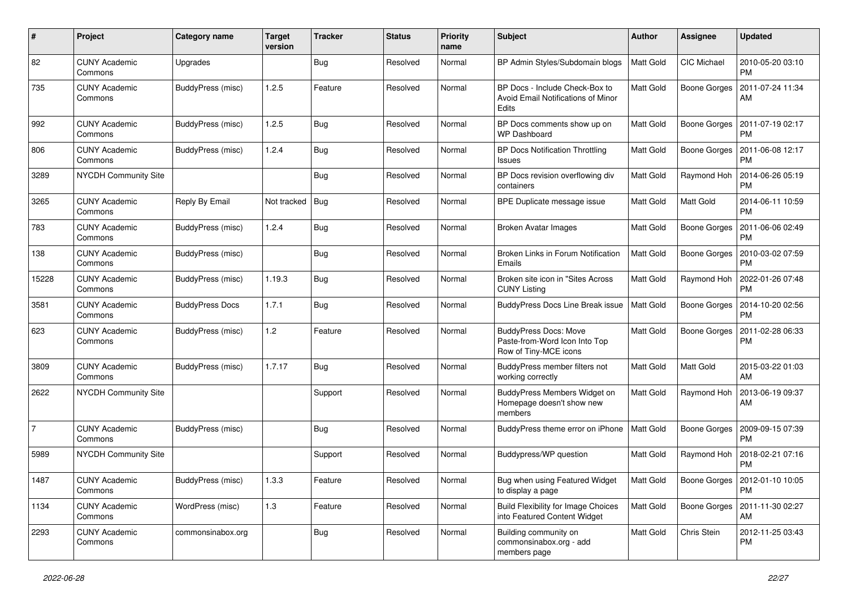| $\#$           | Project                         | <b>Category name</b>   | <b>Target</b><br>version | <b>Tracker</b> | <b>Status</b> | <b>Priority</b><br>name | Subject                                                                                | Author           | <b>Assignee</b>     | <b>Updated</b>                             |
|----------------|---------------------------------|------------------------|--------------------------|----------------|---------------|-------------------------|----------------------------------------------------------------------------------------|------------------|---------------------|--------------------------------------------|
| 82             | <b>CUNY Academic</b><br>Commons | Upgrades               |                          | Bug            | Resolved      | Normal                  | BP Admin Styles/Subdomain blogs                                                        | <b>Matt Gold</b> | CIC Michael         | 2010-05-20 03:10<br><b>PM</b>              |
| 735            | <b>CUNY Academic</b><br>Commons | BuddyPress (misc)      | 1.2.5                    | Feature        | Resolved      | Normal                  | BP Docs - Include Check-Box to<br>Avoid Email Notifications of Minor<br><b>Edits</b>   | <b>Matt Gold</b> | <b>Boone Gorges</b> | 2011-07-24 11:34<br>AM                     |
| 992            | <b>CUNY Academic</b><br>Commons | BuddyPress (misc)      | 1.2.5                    | <b>Bug</b>     | Resolved      | Normal                  | BP Docs comments show up on<br><b>WP Dashboard</b>                                     | <b>Matt Gold</b> | <b>Boone Gorges</b> | 2011-07-19 02:17<br><b>PM</b>              |
| 806            | CUNY Academic<br>Commons        | BuddyPress (misc)      | 1.2.4                    | <b>Bug</b>     | Resolved      | Normal                  | <b>BP Docs Notification Throttling</b><br>Issues                                       | Matt Gold        | <b>Boone Gorges</b> | 2011-06-08 12:17<br><b>PM</b>              |
| 3289           | NYCDH Community Site            |                        |                          | <b>Bug</b>     | Resolved      | Normal                  | BP Docs revision overflowing div<br>containers                                         | <b>Matt Gold</b> | Raymond Hoh         | 2014-06-26 05:19<br><b>PM</b>              |
| 3265           | <b>CUNY Academic</b><br>Commons | Reply By Email         | Not tracked              | Bug            | Resolved      | Normal                  | BPE Duplicate message issue                                                            | <b>Matt Gold</b> | <b>Matt Gold</b>    | 2014-06-11 10:59<br><b>PM</b>              |
| 783            | <b>CUNY Academic</b><br>Commons | BuddyPress (misc)      | 1.2.4                    | <b>Bug</b>     | Resolved      | Normal                  | <b>Broken Avatar Images</b>                                                            | Matt Gold        | <b>Boone Gorges</b> | 2011-06-06 02:49<br><b>PM</b>              |
| 138            | <b>CUNY Academic</b><br>Commons | BuddyPress (misc)      |                          | <b>Bug</b>     | Resolved      | Normal                  | Broken Links in Forum Notification<br>Emails                                           | <b>Matt Gold</b> | <b>Boone Gorges</b> | 2010-03-02 07:59<br><b>PM</b>              |
| 15228          | <b>CUNY Academic</b><br>Commons | BuddyPress (misc)      | 1.19.3                   | Bug            | Resolved      | Normal                  | Broken site icon in "Sites Across<br><b>CUNY Listing</b>                               | Matt Gold        | Raymond Hoh         | 2022-01-26 07:48<br><b>PM</b>              |
| 3581           | <b>CUNY Academic</b><br>Commons | <b>BuddyPress Docs</b> | 1.7.1                    | <b>Bug</b>     | Resolved      | Normal                  | <b>BuddyPress Docs Line Break issue</b>                                                | <b>Matt Gold</b> | <b>Boone Gorges</b> | 2014-10-20 02:56<br><b>PM</b>              |
| 623            | <b>CUNY Academic</b><br>Commons | BuddyPress (misc)      | 1.2                      | Feature        | Resolved      | Normal                  | <b>BuddyPress Docs: Move</b><br>Paste-from-Word Icon Into Top<br>Row of Tiny-MCE icons | Matt Gold        | <b>Boone Gorges</b> | 2011-02-28 06:33<br><b>PM</b>              |
| 3809           | <b>CUNY Academic</b><br>Commons | BuddyPress (misc)      | 1.7.17                   | Bug            | Resolved      | Normal                  | BuddyPress member filters not<br>working correctly                                     | Matt Gold        | Matt Gold           | 2015-03-22 01:03<br>AM                     |
| 2622           | <b>NYCDH Community Site</b>     |                        |                          | Support        | Resolved      | Normal                  | BuddyPress Members Widget on<br>Homepage doesn't show new<br>members                   | Matt Gold        | Raymond Hoh         | 2013-06-19 09:37<br>AM                     |
| $\overline{7}$ | <b>CUNY Academic</b><br>Commons | BuddyPress (misc)      |                          | Bug            | Resolved      | Normal                  | BuddyPress theme error on iPhone                                                       | <b>Matt Gold</b> | <b>Boone Gorges</b> | 2009-09-15 07:39<br><b>PM</b>              |
| 5989           | NYCDH Community Site            |                        |                          | Support        | Resolved      | Normal                  | Buddypress/WP question                                                                 | Matt Gold        | Raymond Hoh         | 2018-02-21 07:16<br><b>PM</b>              |
| 1487           | <b>CUNY Academic</b><br>Commons | BuddyPress (misc)      | 1.3.3                    | Feature        | Resolved      | Normal                  | Bug when using Featured Widget<br>to display a page                                    | Matt Gold        |                     | Boone Gorges 2012-01-10 10:05<br><b>PM</b> |
| 1134           | <b>CUNY Academic</b><br>Commons | WordPress (misc)       | 1.3                      | Feature        | Resolved      | Normal                  | <b>Build Flexibility for Image Choices</b><br>into Featured Content Widget             | Matt Gold        | <b>Boone Gorges</b> | 2011-11-30 02:27<br>AM                     |
| 2293           | <b>CUNY Academic</b><br>Commons | commonsinabox.org      |                          | Bug            | Resolved      | Normal                  | Building community on<br>commonsinabox.org - add<br>members page                       | Matt Gold        | Chris Stein         | 2012-11-25 03:43<br>PM                     |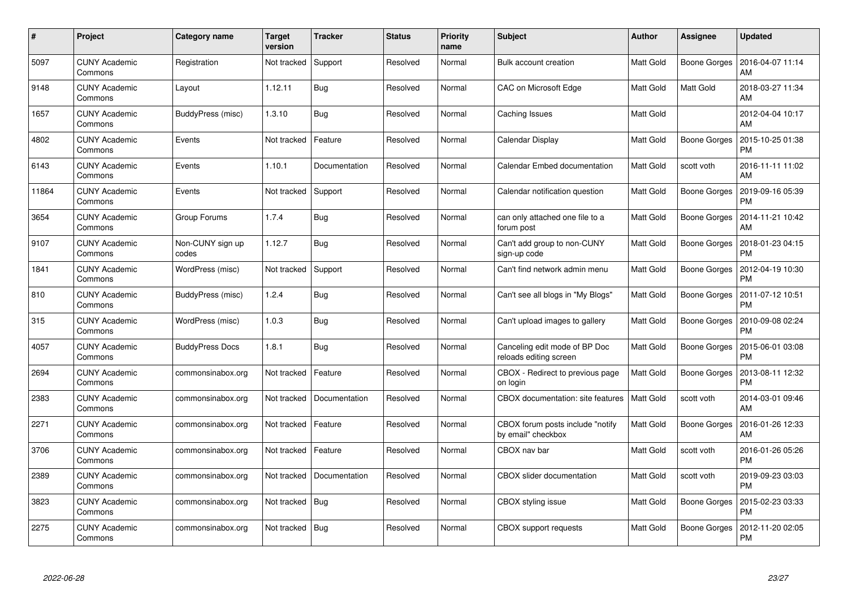| $\pmb{\#}$ | Project                         | Category name             | <b>Target</b><br>version | <b>Tracker</b> | <b>Status</b> | <b>Priority</b><br>name | <b>Subject</b>                                          | <b>Author</b>    | Assignee            | <b>Updated</b>                |
|------------|---------------------------------|---------------------------|--------------------------|----------------|---------------|-------------------------|---------------------------------------------------------|------------------|---------------------|-------------------------------|
| 5097       | <b>CUNY Academic</b><br>Commons | Registration              | Not tracked              | Support        | Resolved      | Normal                  | Bulk account creation                                   | <b>Matt Gold</b> | <b>Boone Gorges</b> | 2016-04-07 11:14<br>AM        |
| 9148       | <b>CUNY Academic</b><br>Commons | Layout                    | 1.12.11                  | <b>Bug</b>     | Resolved      | Normal                  | CAC on Microsoft Edge                                   | <b>Matt Gold</b> | Matt Gold           | 2018-03-27 11:34<br>AM        |
| 1657       | <b>CUNY Academic</b><br>Commons | BuddyPress (misc)         | 1.3.10                   | <b>Bug</b>     | Resolved      | Normal                  | Caching Issues                                          | <b>Matt Gold</b> |                     | 2012-04-04 10:17<br>AM        |
| 4802       | <b>CUNY Academic</b><br>Commons | Events                    | Not tracked              | Feature        | Resolved      | Normal                  | Calendar Display                                        | Matt Gold        | <b>Boone Gorges</b> | 2015-10-25 01:38<br><b>PM</b> |
| 6143       | <b>CUNY Academic</b><br>Commons | Events                    | 1.10.1                   | Documentation  | Resolved      | Normal                  | Calendar Embed documentation                            | <b>Matt Gold</b> | scott voth          | 2016-11-11 11:02<br>AM        |
| 11864      | <b>CUNY Academic</b><br>Commons | Events                    | Not tracked              | Support        | Resolved      | Normal                  | Calendar notification question                          | <b>Matt Gold</b> | Boone Gorges        | 2019-09-16 05:39<br><b>PM</b> |
| 3654       | <b>CUNY Academic</b><br>Commons | Group Forums              | 1.7.4                    | Bug            | Resolved      | Normal                  | can only attached one file to a<br>forum post           | Matt Gold        | <b>Boone Gorges</b> | 2014-11-21 10:42<br>AM        |
| 9107       | <b>CUNY Academic</b><br>Commons | Non-CUNY sign up<br>codes | 1.12.7                   | Bug            | Resolved      | Normal                  | Can't add group to non-CUNY<br>sign-up code             | Matt Gold        | Boone Gorges        | 2018-01-23 04:15<br><b>PM</b> |
| 1841       | <b>CUNY Academic</b><br>Commons | WordPress (misc)          | Not tracked              | Support        | Resolved      | Normal                  | Can't find network admin menu                           | <b>Matt Gold</b> | <b>Boone Gorges</b> | 2012-04-19 10:30<br><b>PM</b> |
| 810        | <b>CUNY Academic</b><br>Commons | BuddyPress (misc)         | 1.2.4                    | Bug            | Resolved      | Normal                  | Can't see all blogs in "My Blogs"                       | <b>Matt Gold</b> | <b>Boone Gorges</b> | 2011-07-12 10:51<br><b>PM</b> |
| 315        | <b>CUNY Academic</b><br>Commons | WordPress (misc)          | 1.0.3                    | <b>Bug</b>     | Resolved      | Normal                  | Can't upload images to gallery                          | Matt Gold        | <b>Boone Gorges</b> | 2010-09-08 02:24<br><b>PM</b> |
| 4057       | <b>CUNY Academic</b><br>Commons | <b>BuddyPress Docs</b>    | 1.8.1                    | <b>Bug</b>     | Resolved      | Normal                  | Canceling edit mode of BP Doc<br>reloads editing screen | Matt Gold        | Boone Gorges        | 2015-06-01 03:08<br><b>PM</b> |
| 2694       | <b>CUNY Academic</b><br>Commons | commonsinabox.org         | Not tracked              | Feature        | Resolved      | Normal                  | CBOX - Redirect to previous page<br>on login            | Matt Gold        | <b>Boone Gorges</b> | 2013-08-11 12:32<br><b>PM</b> |
| 2383       | <b>CUNY Academic</b><br>Commons | commonsinabox.org         | Not tracked              | Documentation  | Resolved      | Normal                  | CBOX documentation: site features                       | <b>Matt Gold</b> | scott voth          | 2014-03-01 09:46<br>AM        |
| 2271       | <b>CUNY Academic</b><br>Commons | commonsinabox.org         | Not tracked              | Feature        | Resolved      | Normal                  | CBOX forum posts include "notify<br>by email" checkbox  | Matt Gold        | <b>Boone Gorges</b> | 2016-01-26 12:33<br>AM        |
| 3706       | <b>CUNY Academic</b><br>Commons | commonsinabox.org         | Not tracked              | Feature        | Resolved      | Normal                  | CBOX nav bar                                            | Matt Gold        | scott voth          | 2016-01-26 05:26<br><b>PM</b> |
| 2389       | <b>CUNY Academic</b><br>Commons | commonsinabox.org         | Not tracked              | Documentation  | Resolved      | Normal                  | CBOX slider documentation                               | Matt Gold        | scott voth          | 2019-09-23 03:03<br><b>PM</b> |
| 3823       | <b>CUNY Academic</b><br>Commons | commonsinabox.org         | Not tracked              | Bug            | Resolved      | Normal                  | CBOX styling issue                                      | Matt Gold        | <b>Boone Gorges</b> | 2015-02-23 03:33<br><b>PM</b> |
| 2275       | CUNY Academic<br>Commons        | commonsinabox.org         | Not tracked              | Bug            | Resolved      | Normal                  | CBOX support requests                                   | <b>Matt Gold</b> | Boone Gorges        | 2012-11-20 02:05<br><b>PM</b> |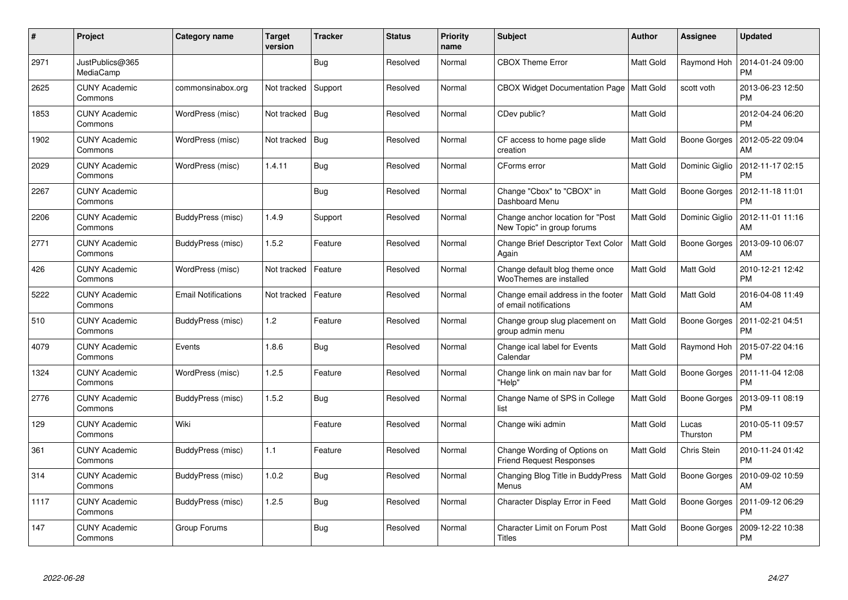| $\#$ | Project                         | <b>Category name</b>       | <b>Target</b><br>version | <b>Tracker</b> | <b>Status</b> | <b>Priority</b><br>name | <b>Subject</b>                                                  | <b>Author</b>    | <b>Assignee</b>     | <b>Updated</b>                |
|------|---------------------------------|----------------------------|--------------------------|----------------|---------------|-------------------------|-----------------------------------------------------------------|------------------|---------------------|-------------------------------|
| 2971 | JustPublics@365<br>MediaCamp    |                            |                          | <b>Bug</b>     | Resolved      | Normal                  | <b>CBOX Theme Error</b>                                         | <b>Matt Gold</b> | Raymond Hoh         | 2014-01-24 09:00<br><b>PM</b> |
| 2625 | <b>CUNY Academic</b><br>Commons | commonsinabox.org          | Not tracked              | Support        | Resolved      | Normal                  | CBOX Widget Documentation Page   Matt Gold                      |                  | scott voth          | 2013-06-23 12:50<br><b>PM</b> |
| 1853 | <b>CUNY Academic</b><br>Commons | WordPress (misc)           | Not tracked              | Bug            | Resolved      | Normal                  | CDev public?                                                    | Matt Gold        |                     | 2012-04-24 06:20<br><b>PM</b> |
| 1902 | <b>CUNY Academic</b><br>Commons | WordPress (misc)           | Not tracked              | <b>Bug</b>     | Resolved      | Normal                  | CF access to home page slide<br>creation                        | <b>Matt Gold</b> | <b>Boone Gorges</b> | 2012-05-22 09:04<br>AM        |
| 2029 | <b>CUNY Academic</b><br>Commons | WordPress (misc)           | 1.4.11                   | <b>Bug</b>     | Resolved      | Normal                  | CForms error                                                    | Matt Gold        | Dominic Giglio      | 2012-11-17 02:15<br><b>PM</b> |
| 2267 | <b>CUNY Academic</b><br>Commons |                            |                          | Bug            | Resolved      | Normal                  | Change "Cbox" to "CBOX" in<br>Dashboard Menu                    | Matt Gold        | Boone Gorges        | 2012-11-18 11:01<br><b>PM</b> |
| 2206 | <b>CUNY Academic</b><br>Commons | BuddyPress (misc)          | 1.4.9                    | Support        | Resolved      | Normal                  | Change anchor location for "Post<br>New Topic" in group forums  | Matt Gold        | Dominic Giglio      | 2012-11-01 11:16<br>AM        |
| 2771 | <b>CUNY Academic</b><br>Commons | BuddyPress (misc)          | 1.5.2                    | Feature        | Resolved      | Normal                  | <b>Change Brief Descriptor Text Color</b><br>Again              | <b>Matt Gold</b> | Boone Gorges        | 2013-09-10 06:07<br>AM        |
| 426  | <b>CUNY Academic</b><br>Commons | WordPress (misc)           | Not tracked              | Feature        | Resolved      | Normal                  | Change default blog theme once<br>WooThemes are installed       | Matt Gold        | Matt Gold           | 2010-12-21 12:42<br><b>PM</b> |
| 5222 | <b>CUNY Academic</b><br>Commons | <b>Email Notifications</b> | Not tracked              | Feature        | Resolved      | Normal                  | Change email address in the footer<br>of email notifications    | <b>Matt Gold</b> | Matt Gold           | 2016-04-08 11:49<br>AM        |
| 510  | <b>CUNY Academic</b><br>Commons | BuddyPress (misc)          | 1.2                      | Feature        | Resolved      | Normal                  | Change group slug placement on<br>group admin menu              | Matt Gold        | <b>Boone Gorges</b> | 2011-02-21 04:51<br><b>PM</b> |
| 4079 | <b>CUNY Academic</b><br>Commons | Events                     | 1.8.6                    | <b>Bug</b>     | Resolved      | Normal                  | Change ical label for Events<br>Calendar                        | Matt Gold        | Raymond Hoh         | 2015-07-22 04:16<br><b>PM</b> |
| 1324 | <b>CUNY Academic</b><br>Commons | WordPress (misc)           | 1.2.5                    | Feature        | Resolved      | Normal                  | Change link on main nav bar for<br>"Help"                       | Matt Gold        | Boone Gorges        | 2011-11-04 12:08<br><b>PM</b> |
| 2776 | <b>CUNY Academic</b><br>Commons | BuddyPress (misc)          | 1.5.2                    | <b>Bug</b>     | Resolved      | Normal                  | Change Name of SPS in College<br>list                           | <b>Matt Gold</b> | <b>Boone Gorges</b> | 2013-09-11 08:19<br><b>PM</b> |
| 129  | <b>CUNY Academic</b><br>Commons | Wiki                       |                          | Feature        | Resolved      | Normal                  | Change wiki admin                                               | Matt Gold        | Lucas<br>Thurston   | 2010-05-11 09:57<br><b>PM</b> |
| 361  | <b>CUNY Academic</b><br>Commons | BuddyPress (misc)          | 1.1                      | Feature        | Resolved      | Normal                  | Change Wording of Options on<br><b>Friend Request Responses</b> | <b>Matt Gold</b> | Chris Stein         | 2010-11-24 01:42<br><b>PM</b> |
| 314  | <b>CUNY Academic</b><br>Commons | BuddyPress (misc)          | 1.0.2                    | Bug            | Resolved      | Normal                  | Changing Blog Title in BuddyPress<br>Menus                      | Matt Gold        | Boone Gorges        | 2010-09-02 10:59<br>AM        |
| 1117 | <b>CUNY Academic</b><br>Commons | BuddyPress (misc)          | 1.2.5                    | Bug            | Resolved      | Normal                  | Character Display Error in Feed                                 | Matt Gold        | <b>Boone Gorges</b> | 2011-09-12 06:29<br><b>PM</b> |
| 147  | CUNY Academic<br>Commons        | Group Forums               |                          | <b>Bug</b>     | Resolved      | Normal                  | <b>Character Limit on Forum Post</b><br>Titles                  | <b>Matt Gold</b> | Boone Gorges        | 2009-12-22 10:38<br><b>PM</b> |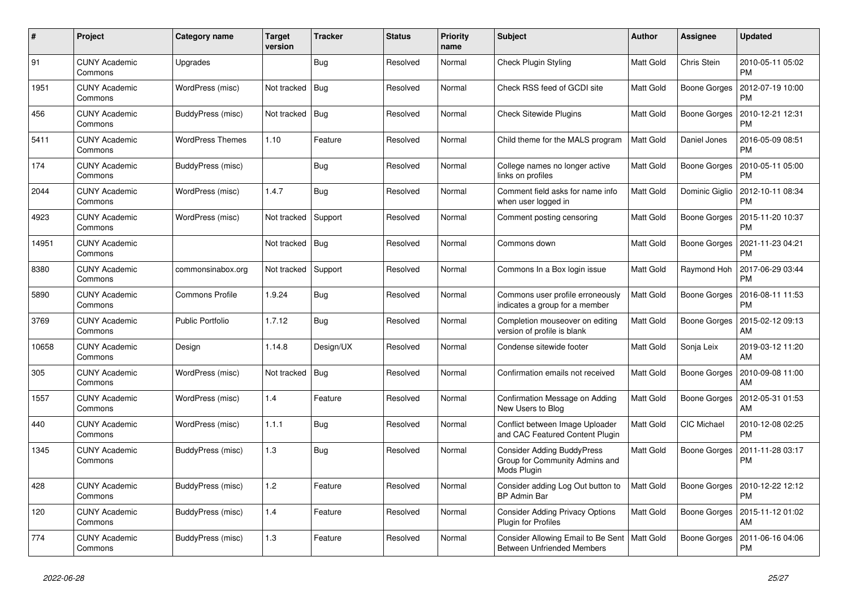| $\#$  | Project                         | Category name           | <b>Target</b><br>version | <b>Tracker</b> | <b>Status</b> | <b>Priority</b><br>name | <b>Subject</b>                                                                      | <b>Author</b>    | Assignee            | <b>Updated</b>                |
|-------|---------------------------------|-------------------------|--------------------------|----------------|---------------|-------------------------|-------------------------------------------------------------------------------------|------------------|---------------------|-------------------------------|
| 91    | <b>CUNY Academic</b><br>Commons | Upgrades                |                          | Bug            | Resolved      | Normal                  | Check Plugin Styling                                                                | Matt Gold        | Chris Stein         | 2010-05-11 05:02<br><b>PM</b> |
| 1951  | <b>CUNY Academic</b><br>Commons | WordPress (misc)        | Not tracked              | Bug            | Resolved      | Normal                  | Check RSS feed of GCDI site                                                         | <b>Matt Gold</b> | <b>Boone Gorges</b> | 2012-07-19 10:00<br><b>PM</b> |
| 456   | <b>CUNY Academic</b><br>Commons | BuddyPress (misc)       | Not tracked              | Bug            | Resolved      | Normal                  | <b>Check Sitewide Plugins</b>                                                       | Matt Gold        | Boone Gorges        | 2010-12-21 12:31<br><b>PM</b> |
| 5411  | <b>CUNY Academic</b><br>Commons | <b>WordPress Themes</b> | 1.10                     | Feature        | Resolved      | Normal                  | Child theme for the MALS program                                                    | <b>Matt Gold</b> | Daniel Jones        | 2016-05-09 08:51<br><b>PM</b> |
| 174   | <b>CUNY Academic</b><br>Commons | BuddyPress (misc)       |                          | Bug            | Resolved      | Normal                  | College names no longer active<br>links on profiles                                 | Matt Gold        | Boone Gorges        | 2010-05-11 05:00<br><b>PM</b> |
| 2044  | <b>CUNY Academic</b><br>Commons | WordPress (misc)        | 1.4.7                    | <b>Bug</b>     | Resolved      | Normal                  | Comment field asks for name info<br>when user logged in                             | Matt Gold        | Dominic Giglio      | 2012-10-11 08:34<br><b>PM</b> |
| 4923  | <b>CUNY Academic</b><br>Commons | WordPress (misc)        | Not tracked              | Support        | Resolved      | Normal                  | Comment posting censoring                                                           | <b>Matt Gold</b> | Boone Gorges        | 2015-11-20 10:37<br><b>PM</b> |
| 14951 | <b>CUNY Academic</b><br>Commons |                         | Not tracked              | Bug            | Resolved      | Normal                  | Commons down                                                                        | Matt Gold        | <b>Boone Gorges</b> | 2021-11-23 04:21<br><b>PM</b> |
| 8380  | <b>CUNY Academic</b><br>Commons | commonsinabox.org       | Not tracked              | Support        | Resolved      | Normal                  | Commons In a Box login issue                                                        | <b>Matt Gold</b> | Raymond Hoh         | 2017-06-29 03:44<br><b>PM</b> |
| 5890  | <b>CUNY Academic</b><br>Commons | <b>Commons Profile</b>  | 1.9.24                   | <b>Bug</b>     | Resolved      | Normal                  | Commons user profile erroneously<br>indicates a group for a member                  | Matt Gold        | Boone Gorges        | 2016-08-11 11:53<br><b>PM</b> |
| 3769  | <b>CUNY Academic</b><br>Commons | Public Portfolio        | 1.7.12                   | <b>Bug</b>     | Resolved      | Normal                  | Completion mouseover on editing<br>version of profile is blank                      | Matt Gold        | <b>Boone Gorges</b> | 2015-02-12 09:13<br>AM        |
| 10658 | <b>CUNY Academic</b><br>Commons | Design                  | 1.14.8                   | Design/UX      | Resolved      | Normal                  | Condense sitewide footer                                                            | <b>Matt Gold</b> | Sonja Leix          | 2019-03-12 11:20<br>AM        |
| 305   | <b>CUNY Academic</b><br>Commons | WordPress (misc)        | Not tracked              | Bug            | Resolved      | Normal                  | Confirmation emails not received                                                    | Matt Gold        | <b>Boone Gorges</b> | 2010-09-08 11:00<br>AM        |
| 1557  | <b>CUNY Academic</b><br>Commons | WordPress (misc)        | 1.4                      | Feature        | Resolved      | Normal                  | Confirmation Message on Adding<br>New Users to Blog                                 | <b>Matt Gold</b> | <b>Boone Gorges</b> | 2012-05-31 01:53<br>AM        |
| 440   | <b>CUNY Academic</b><br>Commons | WordPress (misc)        | 1.1.1                    | <b>Bug</b>     | Resolved      | Normal                  | Conflict between Image Uploader<br>and CAC Featured Content Plugin                  | <b>Matt Gold</b> | CIC Michael         | 2010-12-08 02:25<br><b>PM</b> |
| 1345  | <b>CUNY Academic</b><br>Commons | BuddyPress (misc)       | 1.3                      | <b>Bug</b>     | Resolved      | Normal                  | <b>Consider Adding BuddyPress</b><br>Group for Community Admins and<br>Mods Plugin  | <b>Matt Gold</b> | <b>Boone Gorges</b> | 2011-11-28 03:17<br><b>PM</b> |
| 428   | <b>CUNY Academic</b><br>Commons | BuddyPress (misc)       | 1.2                      | Feature        | Resolved      | Normal                  | Consider adding Log Out button to<br>BP Admin Bar                                   | Matt Gold        | Boone Gorges        | 2010-12-22 12:12<br><b>PM</b> |
| 120   | <b>CUNY Academic</b><br>Commons | BuddyPress (misc)       | 1.4                      | Feature        | Resolved      | Normal                  | <b>Consider Adding Privacy Options</b><br><b>Plugin for Profiles</b>                | <b>Matt Gold</b> | Boone Gorges        | 2015-11-12 01:02<br>AM        |
| 774   | <b>CUNY Academic</b><br>Commons | BuddyPress (misc)       | 1.3                      | Feature        | Resolved      | Normal                  | Consider Allowing Email to Be Sent   Matt Gold<br><b>Between Unfriended Members</b> |                  | Boone Gorges        | 2011-06-16 04:06<br><b>PM</b> |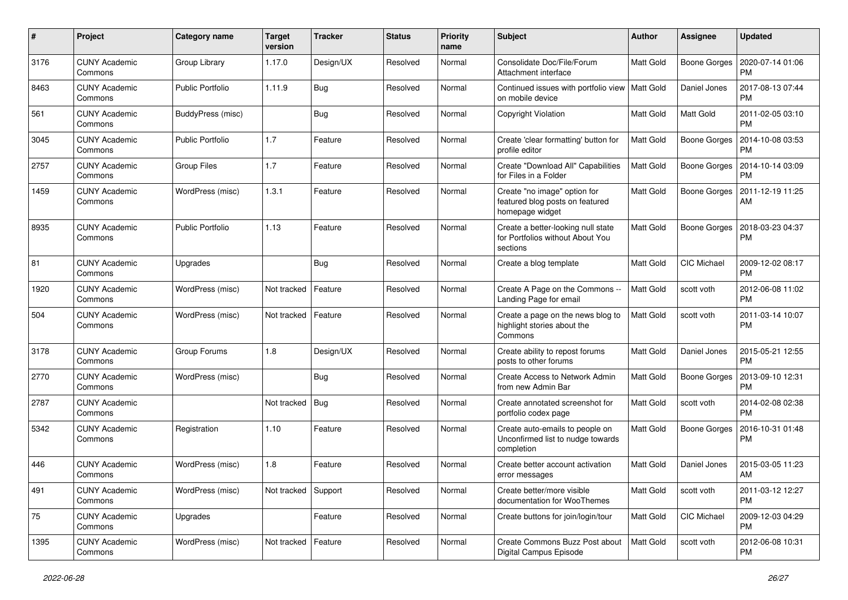| $\pmb{\#}$ | Project                         | Category name           | Target<br>version | <b>Tracker</b> | <b>Status</b> | <b>Priority</b><br>name | Subject                                                                            | Author           | <b>Assignee</b>     | <b>Updated</b>                |
|------------|---------------------------------|-------------------------|-------------------|----------------|---------------|-------------------------|------------------------------------------------------------------------------------|------------------|---------------------|-------------------------------|
| 3176       | <b>CUNY Academic</b><br>Commons | Group Library           | 1.17.0            | Design/UX      | Resolved      | Normal                  | Consolidate Doc/File/Forum<br>Attachment interface                                 | <b>Matt Gold</b> | <b>Boone Gorges</b> | 2020-07-14 01:06<br><b>PM</b> |
| 8463       | <b>CUNY Academic</b><br>Commons | <b>Public Portfolio</b> | 1.11.9            | <b>Bug</b>     | Resolved      | Normal                  | Continued issues with portfolio view   Matt Gold<br>on mobile device               |                  | Daniel Jones        | 2017-08-13 07:44<br><b>PM</b> |
| 561        | <b>CUNY Academic</b><br>Commons | BuddyPress (misc)       |                   | <b>Bug</b>     | Resolved      | Normal                  | Copyright Violation                                                                | Matt Gold        | <b>Matt Gold</b>    | 2011-02-05 03:10<br>PM        |
| 3045       | <b>CUNY Academic</b><br>Commons | <b>Public Portfolio</b> | 1.7               | Feature        | Resolved      | Normal                  | Create 'clear formatting' button for<br>profile editor                             | Matt Gold        | <b>Boone Gorges</b> | 2014-10-08 03:53<br><b>PM</b> |
| 2757       | <b>CUNY Academic</b><br>Commons | <b>Group Files</b>      | 1.7               | Feature        | Resolved      | Normal                  | Create "Download All" Capabilities<br>for Files in a Folder                        | <b>Matt Gold</b> | <b>Boone Gorges</b> | 2014-10-14 03:09<br><b>PM</b> |
| 1459       | <b>CUNY Academic</b><br>Commons | WordPress (misc)        | 1.3.1             | Feature        | Resolved      | Normal                  | Create "no image" option for<br>featured blog posts on featured<br>homepage widget | Matt Gold        | <b>Boone Gorges</b> | 2011-12-19 11:25<br>AM        |
| 8935       | <b>CUNY Academic</b><br>Commons | <b>Public Portfolio</b> | 1.13              | Feature        | Resolved      | Normal                  | Create a better-looking null state<br>for Portfolios without About You<br>sections | Matt Gold        | <b>Boone Gorges</b> | 2018-03-23 04:37<br><b>PM</b> |
| 81         | <b>CUNY Academic</b><br>Commons | Upgrades                |                   | <b>Bug</b>     | Resolved      | Normal                  | Create a blog template                                                             | Matt Gold        | CIC Michael         | 2009-12-02 08:17<br><b>PM</b> |
| 1920       | <b>CUNY Academic</b><br>Commons | WordPress (misc)        | Not tracked       | Feature        | Resolved      | Normal                  | Create A Page on the Commons --<br>Landing Page for email                          | <b>Matt Gold</b> | scott voth          | 2012-06-08 11:02<br><b>PM</b> |
| 504        | <b>CUNY Academic</b><br>Commons | WordPress (misc)        | Not tracked       | Feature        | Resolved      | Normal                  | Create a page on the news blog to<br>highlight stories about the<br>Commons        | Matt Gold        | scott voth          | 2011-03-14 10:07<br><b>PM</b> |
| 3178       | <b>CUNY Academic</b><br>Commons | Group Forums            | 1.8               | Design/UX      | Resolved      | Normal                  | Create ability to repost forums<br>posts to other forums                           | Matt Gold        | Daniel Jones        | 2015-05-21 12:55<br><b>PM</b> |
| 2770       | <b>CUNY Academic</b><br>Commons | WordPress (misc)        |                   | <b>Bug</b>     | Resolved      | Normal                  | Create Access to Network Admin<br>from new Admin Bar                               | <b>Matt Gold</b> | Boone Gorges        | 2013-09-10 12:31<br><b>PM</b> |
| 2787       | <b>CUNY Academic</b><br>Commons |                         | Not tracked       | Bug            | Resolved      | Normal                  | Create annotated screenshot for<br>portfolio codex page                            | Matt Gold        | scott voth          | 2014-02-08 02:38<br><b>PM</b> |
| 5342       | <b>CUNY Academic</b><br>Commons | Registration            | 1.10              | Feature        | Resolved      | Normal                  | Create auto-emails to people on<br>Unconfirmed list to nudge towards<br>completion | Matt Gold        | <b>Boone Gorges</b> | 2016-10-31 01:48<br><b>PM</b> |
| 446        | <b>CUNY Academic</b><br>Commons | WordPress (misc)        | 1.8               | Feature        | Resolved      | Normal                  | Create better account activation<br>error messages                                 | <b>Matt Gold</b> | Daniel Jones        | 2015-03-05 11:23<br>AM        |
| 491        | <b>CUNY Academic</b><br>Commons | WordPress (misc)        | Not tracked       | Support        | Resolved      | Normal                  | Create better/more visible<br>documentation for WooThemes                          | Matt Gold        | scott voth          | 2011-03-12 12:27<br><b>PM</b> |
| 75         | <b>CUNY Academic</b><br>Commons | Upgrades                |                   | Feature        | Resolved      | Normal                  | Create buttons for join/login/tour                                                 | <b>Matt Gold</b> | CIC Michael         | 2009-12-03 04:29<br><b>PM</b> |
| 1395       | <b>CUNY Academic</b><br>Commons | WordPress (misc)        | Not tracked       | Feature        | Resolved      | Normal                  | Create Commons Buzz Post about<br>Digital Campus Episode                           | Matt Gold        | scott voth          | 2012-06-08 10:31<br>PM        |